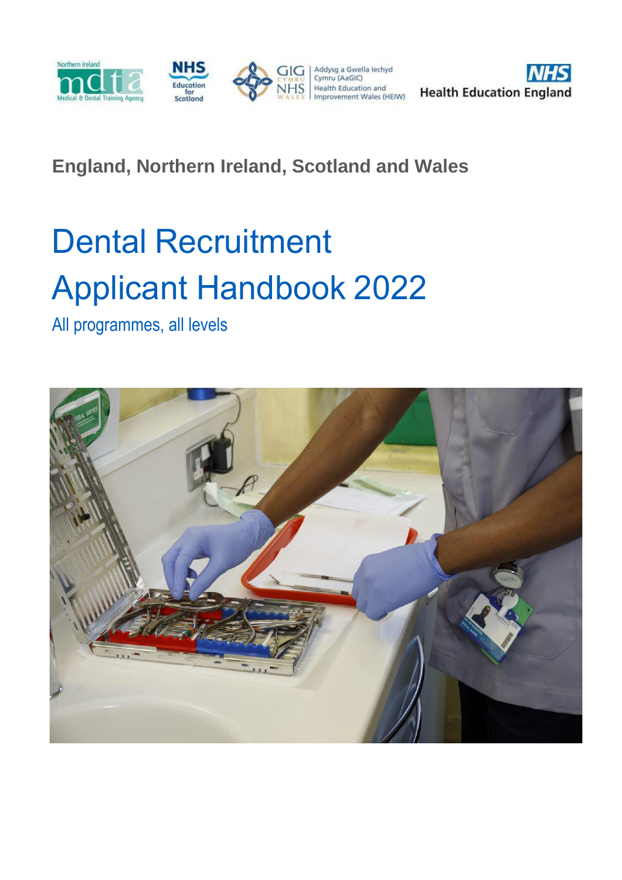

# **England, Northern Ireland, Scotland and Wales**

# Dental Recruitment Applicant Handbook 2022

All programmes, all levels

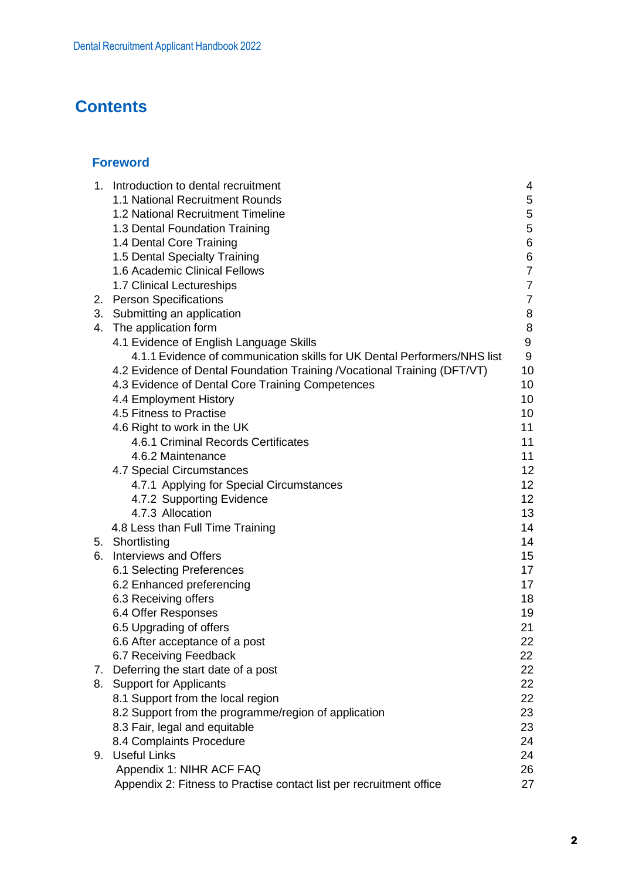# **Contents**

# <span id="page-1-1"></span><span id="page-1-0"></span>**[Foreword](#page-2-0)**

<span id="page-1-37"></span><span id="page-1-36"></span><span id="page-1-35"></span><span id="page-1-34"></span><span id="page-1-33"></span><span id="page-1-32"></span><span id="page-1-31"></span><span id="page-1-30"></span><span id="page-1-29"></span><span id="page-1-28"></span><span id="page-1-27"></span><span id="page-1-26"></span><span id="page-1-25"></span><span id="page-1-24"></span><span id="page-1-23"></span><span id="page-1-22"></span><span id="page-1-21"></span><span id="page-1-20"></span><span id="page-1-19"></span><span id="page-1-18"></span><span id="page-1-17"></span><span id="page-1-16"></span><span id="page-1-15"></span><span id="page-1-14"></span><span id="page-1-13"></span><span id="page-1-12"></span><span id="page-1-11"></span><span id="page-1-10"></span><span id="page-1-9"></span><span id="page-1-8"></span><span id="page-1-7"></span><span id="page-1-6"></span><span id="page-1-5"></span><span id="page-1-4"></span><span id="page-1-3"></span><span id="page-1-2"></span>

| 1. | Introduction to dental recruitment                                        | 4              |
|----|---------------------------------------------------------------------------|----------------|
|    | 1.1 National Recruitment Rounds                                           | 5              |
|    | 1.2 National Recruitment Timeline                                         | 5              |
|    | 1.3 Dental Foundation Training                                            | 5              |
|    | 1.4 Dental Core Training                                                  | 6              |
|    | 1.5 Dental Specialty Training                                             | $\,6$          |
|    | 1.6 Academic Clinical Fellows                                             | $\overline{7}$ |
|    | 1.7 Clinical Lectureships                                                 | $\overline{7}$ |
|    | 2. Person Specifications                                                  | $\overline{7}$ |
|    | 3. Submitting an application                                              | 8              |
|    | 4. The application form                                                   | $\,8\,$        |
|    | 4.1 Evidence of English Language Skills                                   | 9              |
|    | 4.1.1 Evidence of communication skills for UK Dental Performers/NHS list  | 9              |
|    | 4.2 Evidence of Dental Foundation Training / Vocational Training (DFT/VT) | 10             |
|    | 4.3 Evidence of Dental Core Training Competences                          | 10             |
|    | 4.4 Employment History                                                    | 10             |
|    | 4.5 Fitness to Practise                                                   | 10             |
|    | 4.6 Right to work in the UK                                               | 11             |
|    | 4.6.1 Criminal Records Certificates                                       | 11             |
|    | 4.6.2 Maintenance                                                         | 11             |
|    | 4.7 Special Circumstances                                                 | 12             |
|    | 4.7.1 Applying for Special Circumstances                                  | 12             |
|    | 4.7.2 Supporting Evidence                                                 | 12             |
|    | 4.7.3 Allocation                                                          | 13             |
|    | 4.8 Less than Full Time Training                                          | 14             |
|    | 5. Shortlisting                                                           | 14             |
|    | 6. Interviews and Offers                                                  | 15             |
|    | 6.1 Selecting Preferences                                                 | 17             |
|    | 6.2 Enhanced preferencing                                                 | 17             |
|    | 6.3 Receiving offers                                                      | 18             |
|    | 6.4 Offer Responses                                                       | 19             |
|    | 6.5 Upgrading of offers                                                   | 21             |
|    | 6.6 After acceptance of a post                                            | 22             |
|    | 6.7 Receiving Feedback                                                    | 22             |
| 7. | Deferring the start date of a post                                        | 22             |
| 8. | <b>Support for Applicants</b>                                             | 22             |
|    | 8.1 Support from the local region                                         | 22             |
|    | 8.2 Support from the programme/region of application                      | 23             |
|    | 8.3 Fair, legal and equitable                                             | 23             |
|    | 8.4 Complaints Procedure                                                  | 24             |
| 9. | <b>Useful Links</b>                                                       | 24             |
|    | Appendix 1: NIHR ACF FAQ                                                  | 26             |
|    | Appendix 2: Fitness to Practise contact list per recruitment office       | 27             |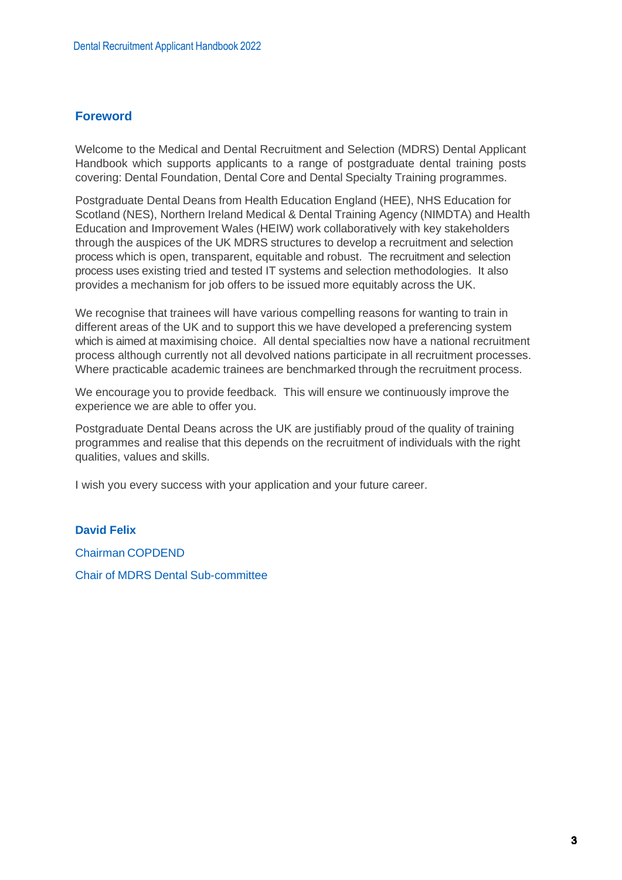# <span id="page-2-0"></span>**Foreword**

Welcome to the Medical and Dental Recruitment and Selection (MDRS) Dental Applicant Handbook which supports applicants to a range of postgraduate dental training posts covering: Dental Foundation, Dental Core and Dental Specialty Training programmes.

Postgraduate Dental Deans from Health Education England (HEE), NHS Education for Scotland (NES), Northern Ireland Medical & Dental Training Agency (NIMDTA) and Health Education and Improvement Wales (HEIW) work collaboratively with key stakeholders through the auspices of the UK MDRS structures to develop a recruitment and selection process which is open, transparent, equitable and robust. The recruitment and selection process uses existing tried and tested IT systems and selection methodologies. It also provides a mechanism for job offers to be issued more equitably across the UK.

We recognise that trainees will have various compelling reasons for wanting to train in different areas of the UK and to support this we have developed a preferencing system which is aimed at maximising choice. All dental specialties now have a national recruitment process although currently not all devolved nations participate in all recruitment processes. Where practicable academic trainees are benchmarked through the recruitment process.

We encourage you to provide feedback. This will ensure we continuously improve the experience we are able to offer you.

Postgraduate Dental Deans across the UK are justifiably proud of the quality of training programmes and realise that this depends on the recruitment of individuals with the right qualities, values and skills.

I wish you every success with your application and your future career.

# **David Felix**

Chairman COPDEND

Chair of MDRS Dental Sub-committee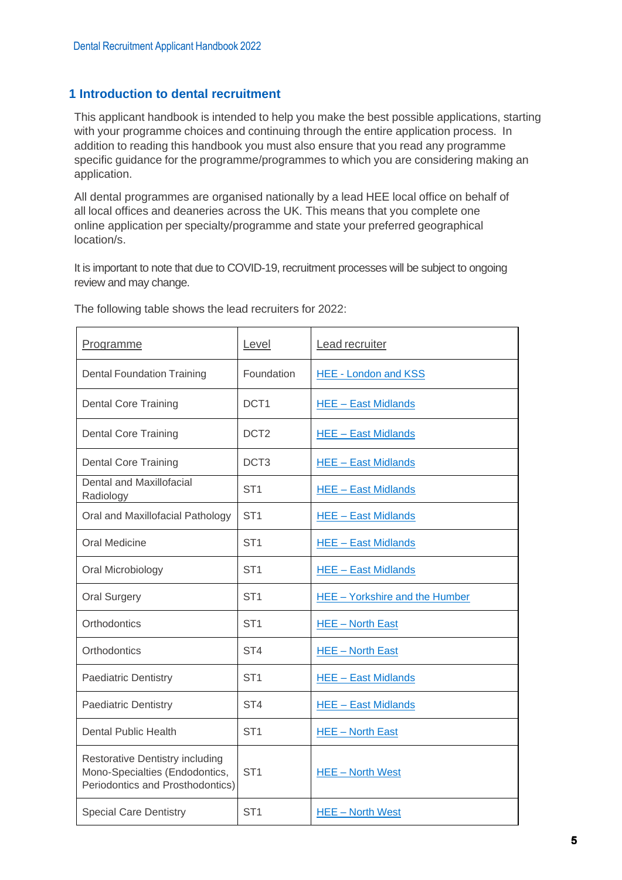# <span id="page-4-0"></span>**[1](#page-1-0) Introduction to dental recruitment**

This applicant handbook is intended to help you make the best possible applications, starting with your programme choices and continuing through the entire application process. In addition to reading this handbook you must also ensure that you read any programme specific guidance for the programme/programmes to which you are considering making an application.

All dental programmes are organised nationally by a lead HEE local office on behalf of all local offices and deaneries across the UK. This means that you complete one online application per specialty/programme and state your preferred geographical location/s.

It is important to note that due to COVID-19, recruitment processes will be subject to ongoing review and may change.

| Programme                                                                                                    | Level            | Lead recruiter                 |  |
|--------------------------------------------------------------------------------------------------------------|------------------|--------------------------------|--|
| <b>Dental Foundation Training</b>                                                                            | Foundation       | <b>HEE - London and KSS</b>    |  |
| <b>Dental Core Training</b>                                                                                  | DCT <sub>1</sub> | <b>HEE - East Midlands</b>     |  |
| <b>Dental Core Training</b>                                                                                  | DCT <sub>2</sub> | <b>HEE - East Midlands</b>     |  |
| <b>Dental Core Training</b>                                                                                  | DCT <sub>3</sub> | <b>HEE - East Midlands</b>     |  |
| Dental and Maxillofacial<br>Radiology                                                                        | ST <sub>1</sub>  | <b>HEE - East Midlands</b>     |  |
| Oral and Maxillofacial Pathology                                                                             | ST <sub>1</sub>  | <b>HEE - East Midlands</b>     |  |
| <b>Oral Medicine</b>                                                                                         | ST <sub>1</sub>  | <b>HEE - East Midlands</b>     |  |
| Oral Microbiology                                                                                            | ST <sub>1</sub>  | <b>HEE - East Midlands</b>     |  |
| <b>Oral Surgery</b>                                                                                          | ST <sub>1</sub>  | HEE - Yorkshire and the Humber |  |
| Orthodontics                                                                                                 | ST <sub>1</sub>  | <b>HEE-North East</b>          |  |
| Orthodontics                                                                                                 | ST <sub>4</sub>  | <b>HEE-North East</b>          |  |
| <b>Paediatric Dentistry</b>                                                                                  | ST <sub>1</sub>  | <b>HEE - East Midlands</b>     |  |
| <b>Paediatric Dentistry</b>                                                                                  | ST <sub>4</sub>  | <b>HEE - East Midlands</b>     |  |
| <b>Dental Public Health</b>                                                                                  | ST <sub>1</sub>  | <b>HEE-North East</b>          |  |
| <b>Restorative Dentistry including</b><br>Mono-Specialties (Endodontics,<br>Periodontics and Prosthodontics) | ST <sub>1</sub>  | <b>HEE-North West</b>          |  |
| <b>Special Care Dentistry</b>                                                                                | ST <sub>1</sub>  | <b>HEE-North West</b>          |  |

The following table shows the lead recruiters for 2022: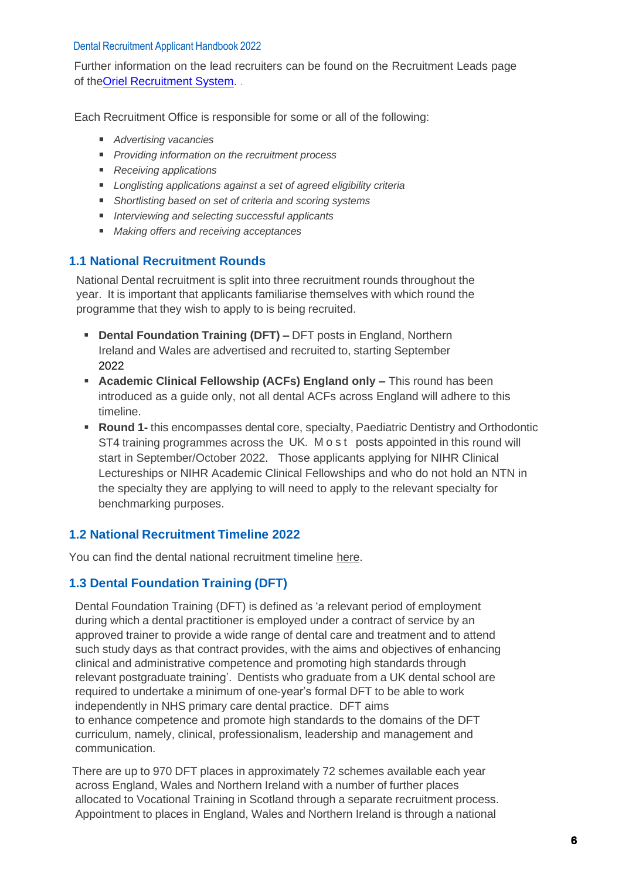Further information on the lead recruiters can be found on the Recruitment Leads page of th[eOriel Recruitment System.](https://www.oriel.nhs.uk/Web/VacancyOwners) .

Each Recruitment Office is responsible for some or all of the following:

- *Advertising vacancies*
- *Providing information on the recruitment process*
- *Receiving applications*
- *Longlisting applications against a set of agreed eligibility criteria*
- **EXEDENT IS Shortlisting based on set of criteria and scoring systems**
- *Interviewing and selecting successful applicants*
- *Making offers and receiving acceptances*

# <span id="page-5-0"></span>**[1.1](#page-1-1) National Recruitment Rounds**

National Dental recruitment is split into three recruitment rounds throughout the year. It is important that applicants familiarise themselves with which round the programme that they wish to apply to is being recruited.

- **Dental Foundation Training (DFT) –** DFT posts in England, Northern Ireland and Wales are advertised and recruited to, starting September 2022
- **EXED Academic Clinical Fellowship (ACFs) England only This round has been** introduced as a guide only, not all dental ACFs across England will adhere to this timeline.
- **Round 1-** this encompasses dental core, specialty, Paediatric Dentistry and Orthodontic ST4 training programmes across the UK. M o s t posts appointed in this round will start in September/October 2022. Those applicants applying for NIHR Clinical Lectureships or NIHR Academic Clinical Fellowships and who do not hold an NTN in the specialty they are applying to will need to apply to the relevant specialty for benchmarking purposes.

# **[1.2](#page-1-2) National Recruitment Timeline 2022**

You can find the dental national recruitment timeline [here.](https://www.copdend.org/postgraduate-training/national-recruitment-for-specialty/)

# <span id="page-5-1"></span>**[1.3](#page-1-3) Dental Foundation Training (DFT)**

Dental Foundation Training (DFT) is defined as 'a relevant period of employment during which a dental practitioner is employed under a contract of service by an approved trainer to provide a wide range of dental care and treatment and to attend such study days as that contract provides, with the aims and objectives of enhancing clinical and administrative competence and promoting high standards through relevant postgraduate training'. Dentists who graduate from a UK dental school are required to undertake a minimum of one-year's formal DFT to be able to work independently in NHS primary care dental practice. DFT aims to enhance competence and promote high standards to the domains of the DFT curriculum, namely, clinical, professionalism, leadership and management and communication.

There are up to 970 DFT places in approximately 72 schemes available each year across England, Wales and Northern Ireland with a number of further places allocated to Vocational Training in Scotland through a separate recruitment process. Appointment to places in England, Wales and Northern Ireland is through a national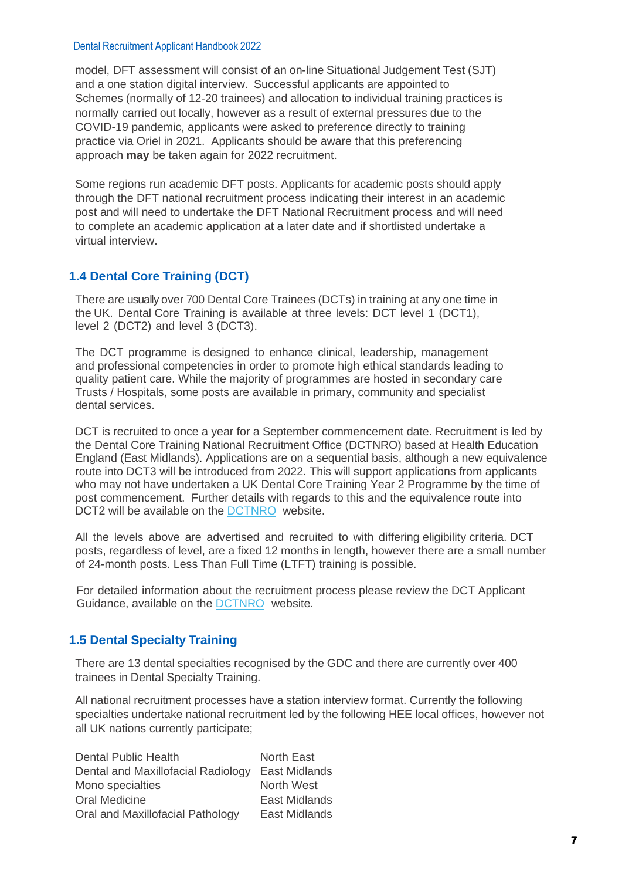model, DFT assessment will consist of an on-line Situational Judgement Test (SJT) and a one station digital interview. Successful applicants are appointed to Schemes (normally of 12-20 trainees) and allocation to individual training practices is normally carried out locally, however as a result of external pressures due to the COVID-19 pandemic, applicants were asked to preference directly to training practice via Oriel in 2021. Applicants should be aware that this preferencing approach **may** be taken again for 2022 recruitment.

Some regions run academic DFT posts. Applicants for academic posts should apply through the DFT national recruitment process indicating their interest in an academic post and will need to undertake the DFT National Recruitment process and will need to complete an academic application at a later date and if shortlisted undertake a virtual interview.

# <span id="page-6-0"></span>**[1.4](#page-1-4) Dental Core Training (DCT)**

There are usually over 700 Dental Core Trainees (DCTs) in training at any one time in the UK. Dental Core Training is available at three levels: DCT level 1 (DCT1), level 2 (DCT2) and level 3 (DCT3).

The DCT programme is designed to enhance clinical, leadership, management and professional competencies in order to promote high ethical standards leading to quality patient care. While the majority of programmes are hosted in secondary care Trusts / Hospitals, some posts are available in primary, community and specialist dental services.

DCT is recruited to once a year for a September commencement date. Recruitment is led by the Dental Core Training National Recruitment Office (DCTNRO) based at Health Education England (East Midlands). Applications are on a sequential basis, although a new equivalence route into DCT3 will be introduced from 2022. This will support applications from applicants who may not have undertaken a UK Dental Core Training Year 2 Programme by the time of post commencement. Further details with regards to this and the equivalence route into DCT2 will be available on the [DCTNRO w](https://www.eastmidlandsdeanery.nhs.uk/recruitment/dental/dental_core_training)ebsite.

All the levels above are advertised and recruited to with differing eligibility criteria. DCT posts, regardless of level, are a fixed 12 months in length, however there are a small number of 24-month posts. Less Than Full Time (LTFT) training is possible.

For detailed information about the recruitment process please review the DCT Applicant Guidance, available on the [DCTNRO](https://www.eastmidlandsdeanery.nhs.uk/recruitment/dental/dental_core_training) website.

# **[1.5](#page-1-5) Dental Specialty Training**

There are 13 dental specialties recognised by the GDC and there are currently over 400 trainees in Dental Specialty Training.

All national recruitment processes have a station interview format. Currently the following specialties undertake national recruitment led by the following HEE local offices, however not all UK nations currently participate;

| <b>Dental Public Health</b>        | <b>North East</b>    |
|------------------------------------|----------------------|
| Dental and Maxillofacial Radiology | <b>East Midlands</b> |
| Mono specialties                   | North West           |
| Oral Medicine                      | <b>East Midlands</b> |
| Oral and Maxillofacial Pathology   | <b>East Midlands</b> |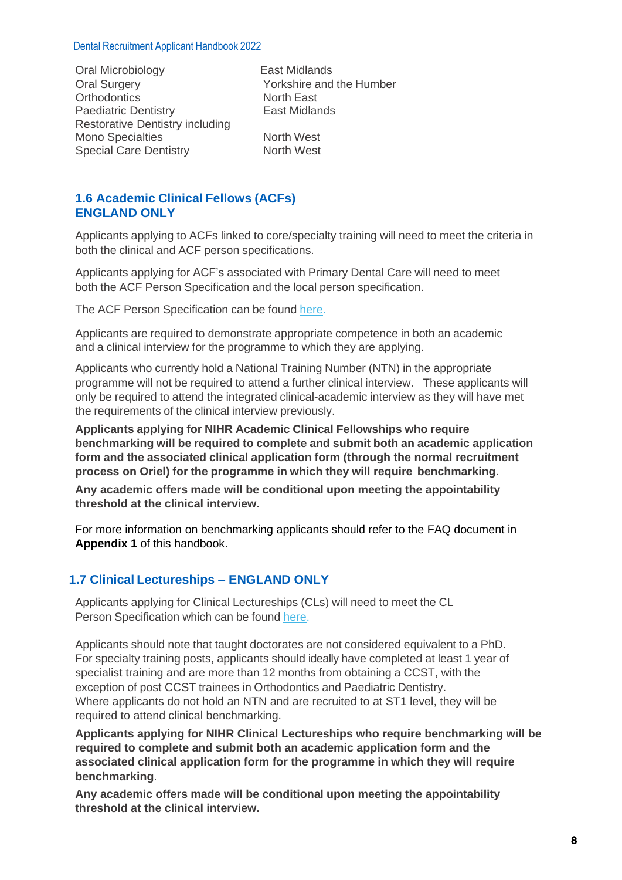Oral Microbiology East Midlands Oral Surgery The Yorkshire and the Humber<br>
Orthodontics
North East
North East
North East
North East
North East
North East
North East
North East
North East
North East
North East
North East
North East
North East
North East
N Orthodontics<br>
Paediatric Dentistry<br>
Fast Midlands Paediatric Dentistry Restorative Dentistry including Mono Specialties **North West**<br>
Special Care Dentistry<br>
North West Special Care Dentistry

# <span id="page-7-0"></span>**[1.6](#page-1-6) Academic Clinical Fellows (ACFs) ENGLAND ONLY**

Applicants applying to ACFs linked to core/specialty training will need to meet the criteria in both the clinical and ACF person specifications.

Applicants applying for ACF's associated with Primary Dental Care will need to meet both the ACF Person Specification and the local person specification.

The ACF Person Specification can be found [here.](http://www.nihr.ac.uk/ACFdentistry)

Applicants are required to demonstrate appropriate competence in both an academic and a clinical interview for the programme to which they are applying.

Applicants who currently hold a National Training Number (NTN) in the appropriate programme will not be required to attend a further clinical interview. These applicants will only be required to attend the integrated clinical-academic interview as they will have met the requirements of the clinical interview previously.

**Applicants applying for NIHR Academic Clinical Fellowships who require benchmarking will be required to complete and submit both an academic application form and the associated clinical application form (through the normal recruitment process on Oriel) for the programme in which they will require benchmarking**.

**Any academic offers made will be conditional upon meeting the appointability threshold at the clinical interview.** 

For more information on benchmarking applicants should refer to the FAQ document in **Appendix 1** of this handbook.

# <span id="page-7-1"></span>**[1.7](#page-1-7) Clinical Lectureships – ENGLAND ONLY**

Applicants applying for Clinical Lectureships (CLs) will need to meet the CL Person Specification which can be found [here.](https://www.nihr.ac.uk/explore-nihr/academy-programmes/integrated-academic-training.htm)

Applicants should note that taught doctorates are not considered equivalent to a PhD. For specialty training posts, applicants should ideally have completed at least 1 year of specialist training and are more than 12 months from obtaining a CCST, with the exception of post CCST trainees in Orthodontics and Paediatric Dentistry. Where applicants do not hold an NTN and are recruited to at ST1 level, they will be required to attend clinical benchmarking.

**Applicants applying for NIHR Clinical Lectureships who require benchmarking will be required to complete and submit both an academic application form and the associated clinical application form for the programme in which they will require benchmarking**.

**Any academic offers made will be conditional upon meeting the appointability threshold at the clinical interview.**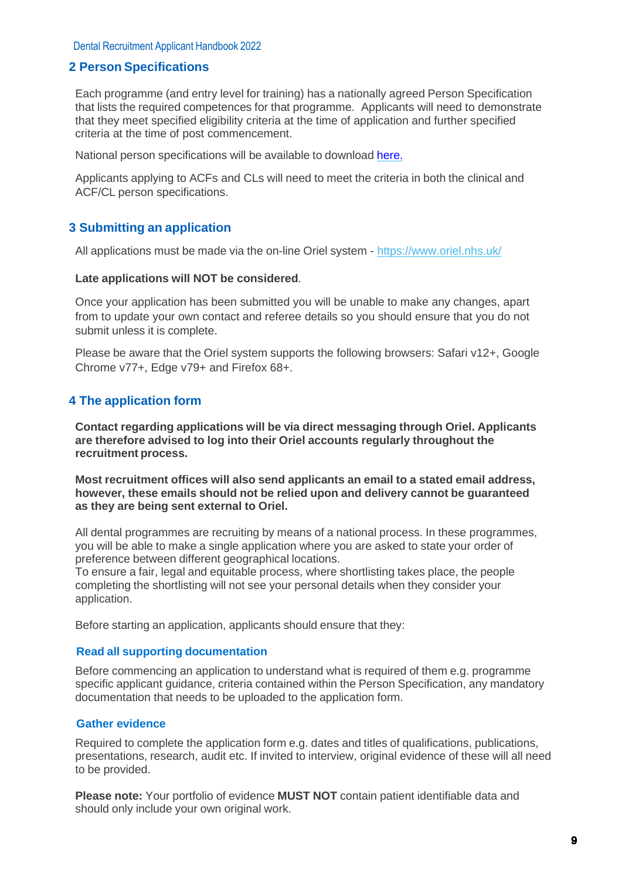#### <span id="page-8-0"></span>**[2](#page-1-8) Person Specifications**

Each programme (and entry level for training) has a nationally agreed Person Specification that lists the required competences for that programme. Applicants will need to demonstrate that they meet specified eligibility criteria at the time of application and further specified criteria at the time of post commencement.

National person specifications will be available to download [here.](http://www.copdend.org/postgraduate-training/national-person-specification/)

<span id="page-8-1"></span>Applicants applying to ACFs and CLs will need to meet the criteria in both the clinical and ACF/CL person specifications.

#### **[3](#page-1-9) Submitting an application**

All applications must be made via the on-line Oriel system - <https://www.oriel.nhs.uk/>

#### **Late applications will NOT be considered**.

Once your application has been submitted you will be unable to make any changes, apart from to update your own contact and referee details so you should ensure that you do not submit unless it is complete.

Please be aware that the Oriel system supports the following browsers: Safari v12+, Google Chrome v77+, Edge v79+ and Firefox 68+.

#### <span id="page-8-2"></span>**[4](#page-1-10) The application form**

**Contact regarding applications will be via direct messaging through Oriel. Applicants are therefore advised to log into their Oriel accounts regularly throughout the recruitment process.**

**Most recruitment offices will also send applicants an email to a stated email address, however, these emails should not be relied upon and delivery cannot be guaranteed as they are being sent external to Oriel.**

All dental programmes are recruiting by means of a national process. In these programmes, you will be able to make a single application where you are asked to state your order of preference between different geographical locations.

To ensure a fair, legal and equitable process, where shortlisting takes place, the people completing the shortlisting will not see your personal details when they consider your application.

Before starting an application, applicants should ensure that they:

#### **Read all supporting documentation**

Before commencing an application to understand what is required of them e.g. programme specific applicant guidance, criteria contained within the Person Specification, any mandatory documentation that needs to be uploaded to the application form.

#### **Gather evidence**

Required to complete the application form e.g. dates and titles of qualifications, publications, presentations, research, audit etc. If invited to interview, original evidence of these will all need to be provided.

**Please note:** Your portfolio of evidence **MUST NOT** contain patient identifiable data and should only include your own original work.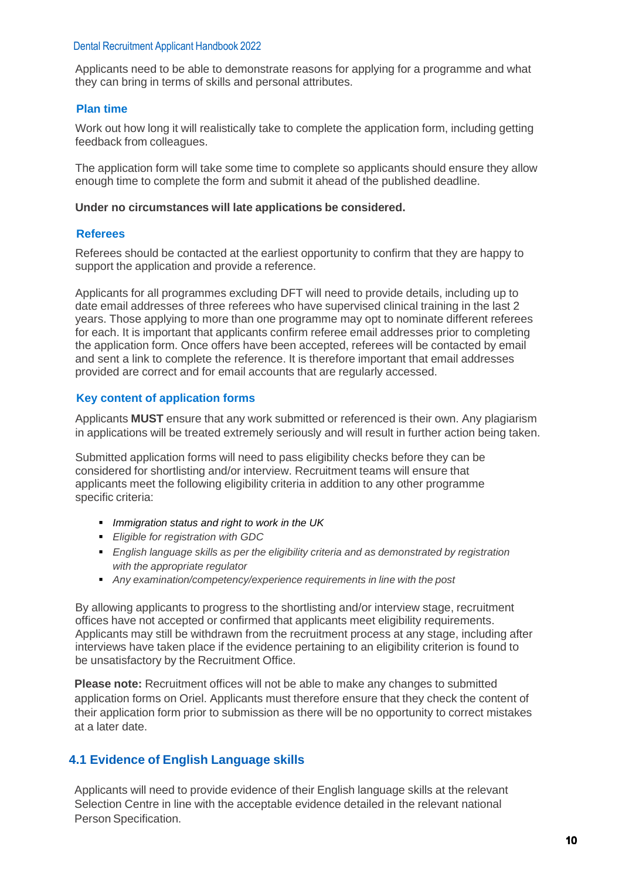Applicants need to be able to demonstrate reasons for applying for a programme and what they can bring in terms of skills and personal attributes.

#### **Plan time**

Work out how long it will realistically take to complete the application form, including getting feedback from colleagues.

The application form will take some time to complete so applicants should ensure they allow enough time to complete the form and submit it ahead of the published deadline.

#### **Under no circumstances will late applications be considered.**

#### **Referees**

Referees should be contacted at the earliest opportunity to confirm that they are happy to support the application and provide a reference.

Applicants for all programmes excluding DFT will need to provide details, including up to date email addresses of three referees who have supervised clinical training in the last 2 years. Those applying to more than one programme may opt to nominate different referees for each. It is important that applicants confirm referee email addresses prior to completing the application form. Once offers have been accepted, referees will be contacted by email and sent a link to complete the reference. It is therefore important that email addresses provided are correct and for email accounts that are regularly accessed.

#### **Key content of application forms**

Applicants **MUST** ensure that any work submitted or referenced is their own. Any plagiarism in applications will be treated extremely seriously and will result in further action being taken.

Submitted application forms will need to pass eligibility checks before they can be considered for shortlisting and/or interview. Recruitment teams will ensure that applicants meet the following eligibility criteria in addition to any other programme specific criteria:

- *Immigration status and right to work in the UK*
- *Eligible for registration with GDC*
- *English language skills as per the eligibility criteria and as demonstrated by registration with the appropriate regulator*
- *Any examination/competency/experience requirements in line with the post*

By allowing applicants to progress to the shortlisting and/or interview stage, recruitment offices have not accepted or confirmed that applicants meet eligibility requirements. Applicants may still be withdrawn from the recruitment process at any stage, including after interviews have taken place if the evidence pertaining to an eligibility criterion is found to be unsatisfactory by the Recruitment Office.

**Please note:** Recruitment offices will not be able to make any changes to submitted application forms on Oriel. Applicants must therefore ensure that they check the content of their application form prior to submission as there will be no opportunity to correct mistakes at a later date.

# **[4.1](#page-1-11) Evidence of English Language skills**

<span id="page-9-0"></span>Applicants will need to provide evidence of their English language skills at the relevant Selection Centre in line with the acceptable evidence detailed in the relevant national Person Specification.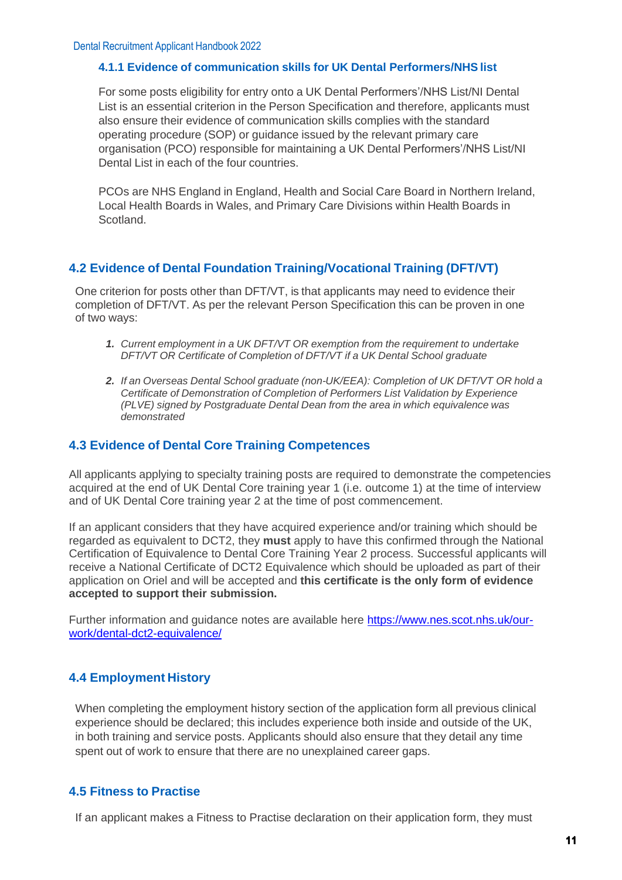#### **[4.1.1](#page-1-12) Evidence of communication skills for UK Dental Performers/NHS list**

<span id="page-10-0"></span>For some posts eligibility for entry onto a UK Dental Performers'/NHS List/NI Dental List is an essential criterion in the Person Specification and therefore, applicants must also ensure their evidence of communication skills complies with the standard operating procedure (SOP) or guidance issued by the relevant primary care organisation (PCO) responsible for maintaining a UK Dental Performers'/NHS List/NI Dental List in each of the four countries.

PCOs are NHS England in England, Health and Social Care Board in Northern Ireland, Local Health Boards in Wales, and Primary Care Divisions within Health Boards in Scotland.

# <span id="page-10-1"></span>**[4.2](#page-1-13) Evidence of Dental Foundation Training/Vocational Training (DFT/VT)**

One criterion for posts other than DFT/VT, is that applicants may need to evidence their completion of DFT/VT. As per the relevant Person Specification this can be proven in one of two ways:

- *1. Current employment in a UK DFT/VT OR exemption from the requirement to undertake DFT/VT OR Certificate of Completion of DFT/VT if a UK Dental School graduate*
- *2. If an Overseas Dental School graduate (non-UK/EEA): Completion of UK DFT/VT OR hold a Certificate of Demonstration of Completion of Performers List Validation by Experience (PLVE) signed by Postgraduate Dental Dean from the area in which equivalence was demonstrated*

# <span id="page-10-3"></span><span id="page-10-2"></span>**[4.3](#page-1-14) Evidence of Dental Core Training Competences**

All applicants applying to specialty training posts are required to demonstrate the competencies acquired at the end of UK Dental Core training year 1 (i.e. outcome 1) at the time of interview and of UK Dental Core training year 2 at the time of post commencement.

If an applicant considers that they have acquired experience and/or training which should be regarded as equivalent to DCT2, they **must** apply to have this confirmed through the National Certification of Equivalence to Dental Core Training Year 2 process. Successful applicants will receive a National Certificate of DCT2 Equivalence which should be uploaded as part of their application on Oriel and will be accepted and **this certificate is the only form of evidence accepted to support their submission.**

Further information and guidance notes are available here [https://www.nes.scot.nhs.uk/our](https://www.nes.scot.nhs.uk/our-work/dental-dct2-equivalence/)[work/dental-dct2-equivalence/](https://www.nes.scot.nhs.uk/our-work/dental-dct2-equivalence/)

# **[4.4](#page-1-15) Employment History**

When completing the employment history section of the application form all previous clinical experience should be declared; this includes experience both inside and outside of the UK, in both training and service posts. Applicants should also ensure that they detail any time spent out of work to ensure that there are no unexplained career gaps.

# <span id="page-10-4"></span>**[4.5](#page-1-16) Fitness to Practise**

If an applicant makes a Fitness to Practise declaration on their application form, they must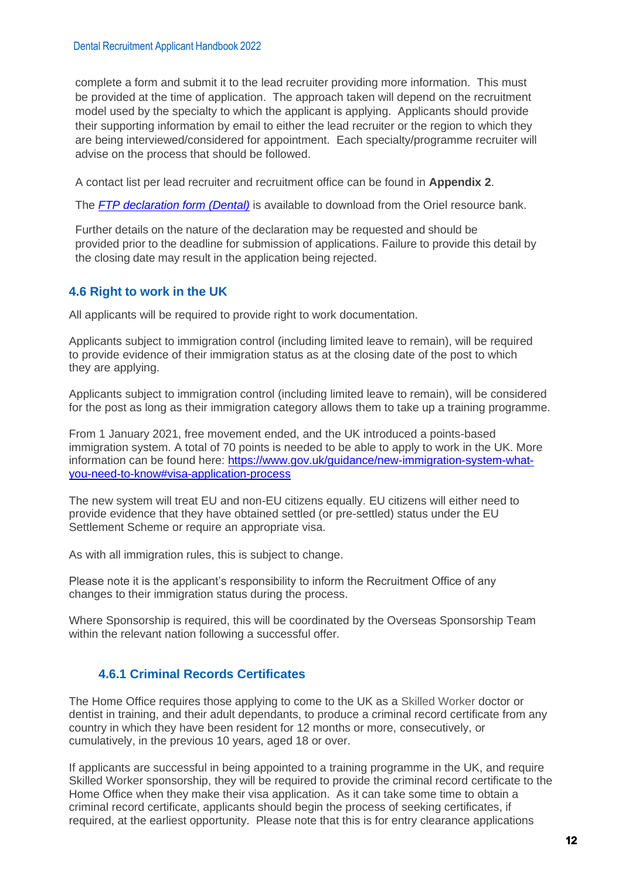complete a form and submit it to the lead recruiter providing more information. This must be provided at the time of application. The approach taken will depend on the recruitment model used by the specialty to which the applicant is applying. Applicants should provide their supporting information by email to either the lead recruiter or the region to which they are being interviewed/considered for appointment. Each specialty/programme recruiter will advise on the process that should be followed.

A contact list per lead recruiter and recruitment office can be found in **Appendix 2**.

The *[FTP declaration form](https://www.oriel.nhs.uk/Web/PermaLink/ResourceBank/0B87F988) (Dental)* is available to download from the Oriel resource bank.

<span id="page-11-0"></span>Further details on the nature of the declaration may be requested and should be provided prior to the deadline for submission of applications. Failure to provide this detail by the closing date may result in the application being rejected.

# **[4.6](#page-1-17) Right to work in the UK**

All applicants will be required to provide right to work documentation.

Applicants subject to immigration control (including limited leave to remain), will be required to provide evidence of their immigration status as at the closing date of the post to which they are applying.

Applicants subject to immigration control (including limited leave to remain), will be considered for the post as long as their immigration category allows them to take up a training programme.

From 1 January 2021, free movement ended, and the UK introduced a points-based immigration system. A total of 70 points is needed to be able to apply to work in the UK. More information can be found here: [https://www.gov.uk/guidance/new-immigration-system-what](https://www.gov.uk/guidance/new-immigration-system-what-you-need-to-know#visa-application-process)[you-need-to-know#visa-application-process](https://www.gov.uk/guidance/new-immigration-system-what-you-need-to-know#visa-application-process)

The new system will treat EU and non-EU citizens equally. EU citizens will either need to provide evidence that they have obtained settled (or pre-settled) status under the EU Settlement Scheme or require an appropriate visa.

As with all immigration rules, this is subject to change.

Please note it is the applicant's responsibility to inform the Recruitment Office of any changes to their immigration status during the process.

Where Sponsorship is required, this will be coordinated by the Overseas Sponsorship Team within the relevant nation following a successful offer.

# **4.6.1 Criminal Records Certificates**

The Home Office requires those applying to come to the UK as a Skilled Worker doctor or dentist in training, and their adult dependants, to produce a criminal record certificate from any country in which they have been resident for 12 months or more, consecutively, or cumulatively, in the previous 10 years, aged 18 or over.

If applicants are successful in being appointed to a training programme in the UK, and require Skilled Worker sponsorship, they will be required to provide the criminal record certificate to the Home Office when they make their visa application. As it can take some time to obtain a criminal record certificate, applicants should begin the process of seeking certificates, if required, at the earliest opportunity. Please note that this is for entry clearance applications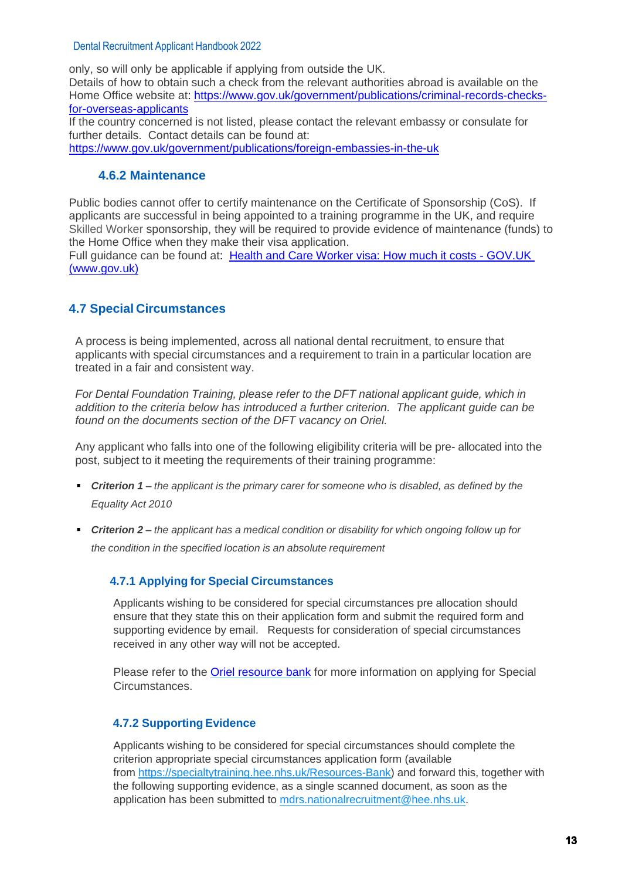only, so will only be applicable if applying from outside the UK. Details of how to obtain such a check from the relevant authorities abroad is available on the Home Office website at: [https://www.gov.uk/government/publications/criminal-records-checks](https://www.gov.uk/government/publications/criminal-records-checks-for-overseas-applicants)[for-overseas-applicants](https://www.gov.uk/government/publications/criminal-records-checks-for-overseas-applicants)

If the country concerned is not listed, please contact the relevant embassy or consulate for further details. Contact details can be found at: <https://www.gov.uk/government/publications/foreign-embassies-in-the-uk>

# **4.6.2 Maintenance**

Public bodies cannot offer to certify maintenance on the Certificate of Sponsorship (CoS). If applicants are successful in being appointed to a training programme in the UK, and require Skilled Worker sponsorship, they will be required to provide evidence of maintenance (funds) to the Home Office when they make their visa application.

Full guidance can be found at: [Health and Care Worker visa: How much it costs -](https://www.gov.uk/health-care-worker-visa/how-much-it-costs) GOV.UK [\(www.gov.uk\)](https://www.gov.uk/health-care-worker-visa/how-much-it-costs)

# <span id="page-12-0"></span>**[4.7](#page-1-18) Special Circumstances**

A process is being implemented, across all national dental recruitment, to ensure that applicants with special circumstances and a requirement to train in a particular location are treated in a fair and consistent way.

*For Dental Foundation Training, please refer to the DFT national applicant guide, which in addition to the criteria below has introduced a further criterion. The applicant guide can be found on the documents section of the DFT vacancy on Oriel.* 

Any applicant who falls into one of the following eligibility criteria will be pre- allocated into the post, subject to it meeting the requirements of their training programme:

- *Criterion 1 – the applicant is the primary carer for someone who is disabled, as defined by the Equality Act 2010*
- *Criterion 2 – the applicant has a medical condition or disability for which ongoing follow up for the condition in the specified location is an absolute requirement*

# <span id="page-12-1"></span> **[4.7.1](#page-1-19) Applying for Special Circumstances**

Applicants wishing to be considered for special circumstances pre allocation should ensure that they state this on their application form and submit the required form and supporting evidence by email. Requests for consideration of special circumstances received in any other way will not be accepted.

Please refer to the [Oriel resource bank](https://www.oriel.nhs.uk/Web/ResourceBank/) for more information on applying for Special Circumstances.

# <span id="page-12-2"></span> **[4.7.2](#page-1-20) Supporting Evidence**

Applicants wishing to be considered for special circumstances should complete the criterion appropriate special circumstances application form (available from [https://specialtytraining.hee.nhs.uk/Resources-Bank\)](https://specialtytraining.hee.nhs.uk/Resources-Bank) and forward this, together with the following supporting evidence, as a single scanned document, as soon as the application has been submitted to [mdrs.nationalrecruitment@hee.nhs.uk.](mailto:mdrs.nationalrecruitment@hee.nhs.uk)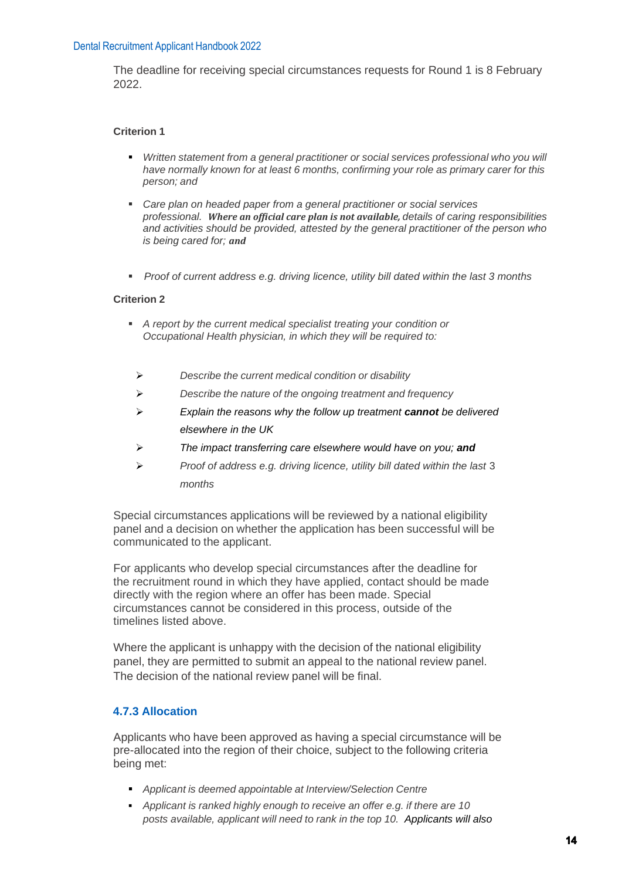The deadline for receiving special circumstances requests for Round 1 is 8 February 2022.

#### **Criterion 1**

- *Written statement from a general practitioner or social services professional who you will have normally known for at least 6 months, confirming your role as primary carer for this person; and*
- *Care plan on headed paper from a general practitioner or social services professional. Where an official care plan is not available, details of caring responsibilities and activities should be provided, attested by the general practitioner of the person who is being cared for; and*
- *Proof of current address e.g. driving licence, utility bill dated within the last 3 months*

#### **Criterion 2**

- *A report by the current medical specialist treating your condition or Occupational Health physician, in which they will be required to:*
	- ➢ *Describe the current medical condition or disability*
	- ➢ *Describe the nature of the ongoing treatment and frequency*
	- ➢ *Explain the reasons why the follow up treatment cannot be delivered elsewhere in the UK*
	- ➢ *The impact transferring care elsewhere would have on you; and*
	- ➢ *Proof of address e.g. driving licence, utility bill dated within the last* 3 *months*

Special circumstances applications will be reviewed by a national eligibility panel and a decision on whether the application has been successful will be communicated to the applicant.

For applicants who develop special circumstances after the deadline for the recruitment round in which they have applied, contact should be made directly with the region where an offer has been made. Special circumstances cannot be considered in this process, outside of the timelines listed above.

Where the applicant is unhappy with the decision of the national eligibility panel, they are permitted to submit an appeal to the national review panel. The decision of the national review panel will be final.

#### <span id="page-13-0"></span> **[4.7.3](#page-1-21) Allocation**

Applicants who have been approved as having a special circumstance will be pre-allocated into the region of their choice, subject to the following criteria being met:

- *Applicant is deemed appointable at Interview/Selection Centre*
- *Applicant is ranked highly enough to receive an offer e.g. if there are 10 posts available, applicant will need to rank in the top 10. Applicants will also*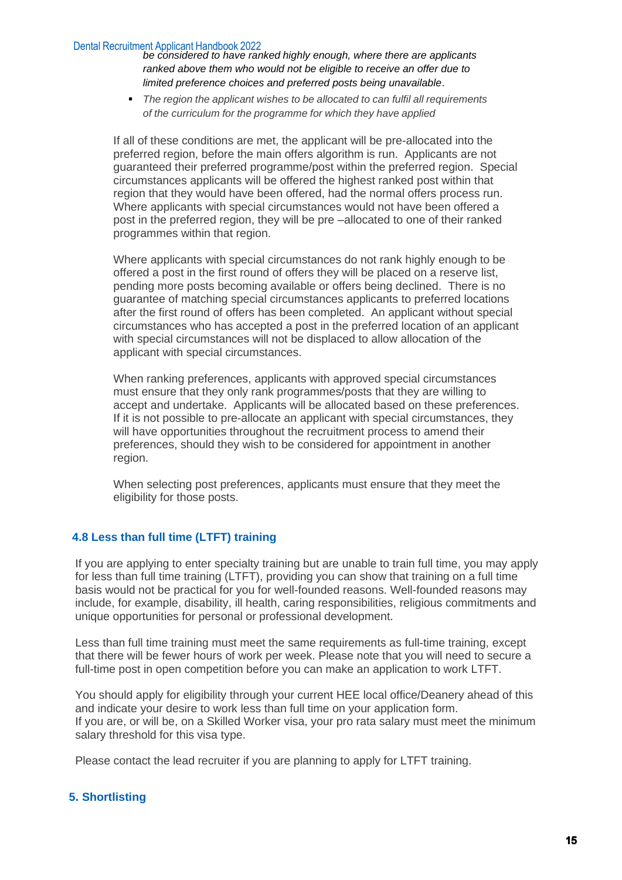*be considered to have ranked highly enough, where there are applicants ranked above them who would not be eligible to receive an offer due to limited preference choices and preferred posts being unavailable*.

▪ *The region the applicant wishes to be allocated to can fulfil all requirements of the curriculum for the programme for which they have applied*

If all of these conditions are met, the applicant will be pre-allocated into the preferred region, before the main offers algorithm is run. Applicants are not guaranteed their preferred programme/post within the preferred region. Special circumstances applicants will be offered the highest ranked post within that region that they would have been offered, had the normal offers process run. Where applicants with special circumstances would not have been offered a post in the preferred region, they will be pre –allocated to one of their ranked programmes within that region.

Where applicants with special circumstances do not rank highly enough to be offered a post in the first round of offers they will be placed on a reserve list, pending more posts becoming available or offers being declined. There is no guarantee of matching special circumstances applicants to preferred locations after the first round of offers has been completed. An applicant without special circumstances who has accepted a post in the preferred location of an applicant with special circumstances will not be displaced to allow allocation of the applicant with special circumstances.

When ranking preferences, applicants with approved special circumstances must ensure that they only rank programmes/posts that they are willing to accept and undertake. Applicants will be allocated based on these preferences. If it is not possible to pre-allocate an applicant with special circumstances, they will have opportunities throughout the recruitment process to amend their preferences, should they wish to be considered for appointment in another region.

When selecting post preferences, applicants must ensure that they meet the eligibility for those posts.

#### **4.8 Less than full time (LTFT) training**

If you are applying to enter specialty training but are unable to train full time, you may apply for less than full time training (LTFT), providing you can show that training on a full time basis would not be practical for you for well-founded reasons. Well-founded reasons may include, for example, disability, ill health, caring responsibilities, religious commitments and unique opportunities for personal or professional development.

Less than full time training must meet the same requirements as full-time training, except that there will be fewer hours of work per week. Please note that you will need to secure a full-time post in open competition before you can make an application to work LTFT.

You should apply for eligibility through your current HEE local office/Deanery ahead of this and indicate your desire to work less than full time on your application form. If you are, or will be, on a Skilled Worker visa, your pro rata salary must meet the minimum salary threshold for this visa type.

Please contact the lead recruiter if you are planning to apply for LTFT training.

#### <span id="page-14-0"></span>**[5](#page-1-22). Shortlisting**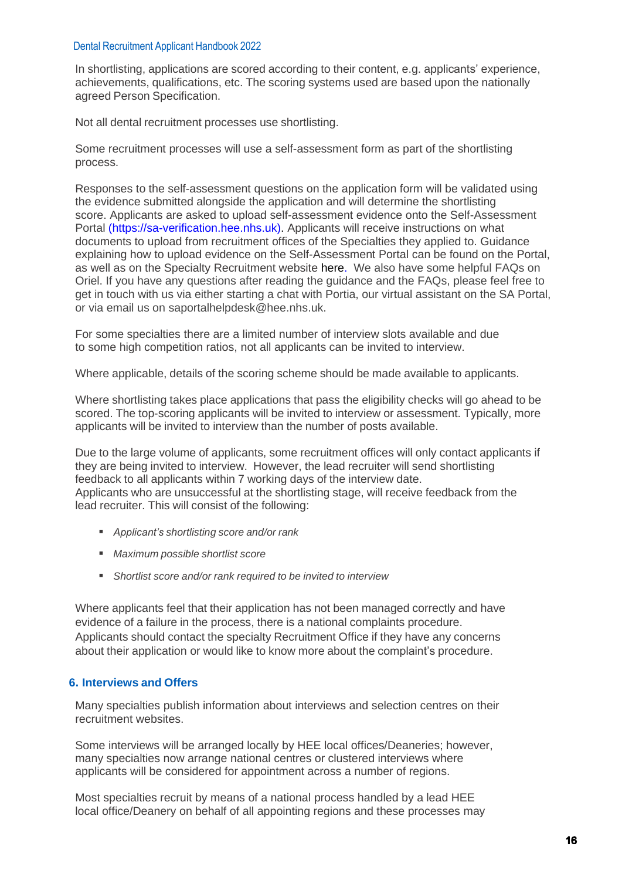In shortlisting, applications are scored according to their content, e.g. applicants' experience, achievements, qualifications, etc. The scoring systems used are based upon the nationally agreed Person Specification.

Not all dental recruitment processes use shortlisting.

Some recruitment processes will use a self-assessment form as part of the shortlisting process.

Responses to the self-assessment questions on the application form will be validated using the evidence submitted alongside the application and will determine the shortlisting score. Applicants are asked to upload self-assessment evidence onto the [Self-Assessment](https://sa-verification.hee.nhs.uk/)  [Portal](https://sa-verification.hee.nhs.uk/) (https://sa-verification.hee.nhs.uk). Applicants will receive instructions on what documents to upload from recruitment offices of the Specialties they applied to. Guidance explaining how to upload evidence on the Self-Assessment Portal can be found on the Portal, as well as on the Specialty Recruitment website here. We also have some helpful FAQs on Oriel. If you have any questions after reading the guidance and the FAQs, please feel free to get in touch with us via either starting a chat with Portia, our virtual assistant on the SA Portal, or via email us on [saportalhelpdesk@hee.nhs.uk.](mailto:saportalhelpdesk@hee.nhs.uk)

For some specialties there are a limited number of interview slots available and due to some high competition ratios, not all applicants can be invited to interview.

Where applicable, details of the scoring scheme should be made available to applicants.

Where shortlisting takes place applications that pass the eligibility checks will go ahead to be scored. The top-scoring applicants will be invited to interview or assessment. Typically, more applicants will be invited to interview than the number of posts available.

Due to the large volume of applicants, some recruitment offices will only contact applicants if they are being invited to interview. However, the lead recruiter will send shortlisting feedback to all applicants within 7 working days of the interview date. Applicants who are unsuccessful at the shortlisting stage, will receive feedback from the lead recruiter. This will consist of the following:

- *Applicant's shortlisting score and/or rank*
- *Maximum possible shortlist score*
- *Shortlist score and/or rank required to be invited to interview*

Where applicants feel that their application has not been managed correctly and have evidence of a failure in the process, there is a national complaints procedure. Applicants should contact the specialty Recruitment Office if they have any concerns about their application or would like to know more about the complaint's procedure.

#### <span id="page-15-0"></span>**[6](#page-1-23). Interviews and Offers**

Many specialties publish information about interviews and selection centres on their recruitment websites.

Some interviews will be arranged locally by HEE local offices/Deaneries; however, many specialties now arrange national centres or clustered interviews where applicants will be considered for appointment across a number of regions.

Most specialties recruit by means of a national process handled by a lead HEE local office/Deanery on behalf of all appointing regions and these processes may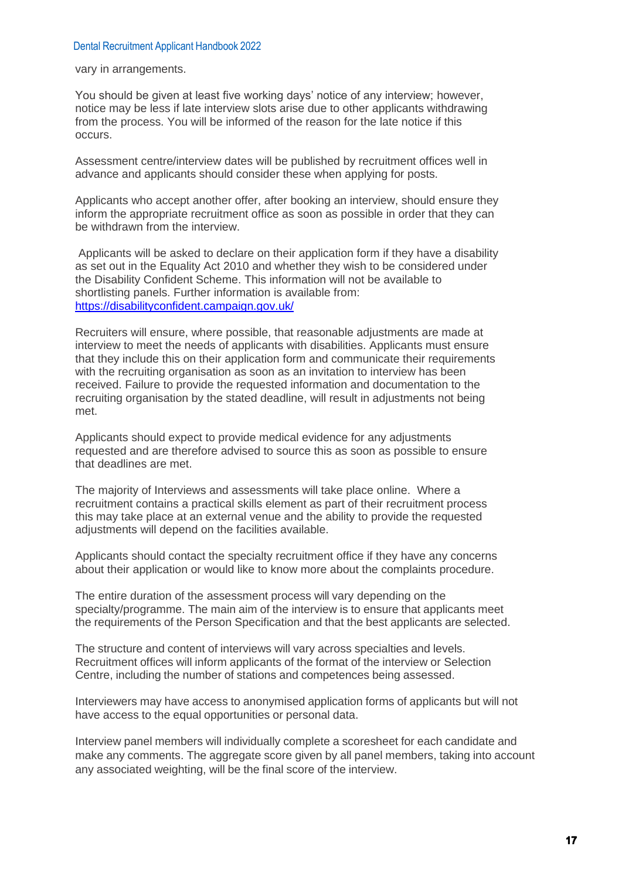vary in arrangements.

You should be given at least five working days' notice of any interview; however, notice may be less if late interview slots arise due to other applicants withdrawing from the process. You will be informed of the reason for the late notice if this occurs.

Assessment centre/interview dates will be published by recruitment offices well in advance and applicants should consider these when applying for posts.

Applicants who accept another offer, after booking an interview, should ensure they inform the appropriate recruitment office as soon as possible in order that they can be withdrawn from the interview.

Applicants will be asked to declare on their application form if they have a disability as set out in the Equality Act 2010 and whether they wish to be considered under the Disability Confident Scheme. This information will not be available to shortlisting panels. Further information is available from: <https://disabilityconfident.campaign.gov.uk/>

Recruiters will ensure, where possible, that reasonable adjustments are made at interview to meet the needs of applicants with disabilities. Applicants must ensure that they include this on their application form and communicate their requirements with the recruiting organisation as soon as an invitation to interview has been received. Failure to provide the requested information and documentation to the recruiting organisation by the stated deadline, will result in adjustments not being met.

Applicants should expect to provide medical evidence for any adjustments requested and are therefore advised to source this as soon as possible to ensure that deadlines are met.

The majority of Interviews and assessments will take place online. Where a recruitment contains a practical skills element as part of their recruitment process this may take place at an external venue and the ability to provide the requested adjustments will depend on the facilities available.

Applicants should contact the specialty recruitment office if they have any concerns about their application or would like to know more about the complaints procedure.

The entire duration of the assessment process will vary depending on the specialty/programme. The main aim of the interview is to ensure that applicants meet the requirements of the Person Specification and that the best applicants are selected.

The structure and content of interviews will vary across specialties and levels. Recruitment offices will inform applicants of the format of the interview or Selection Centre, including the number of stations and competences being assessed.

Interviewers may have access to anonymised application forms of applicants but will not have access to the equal opportunities or personal data.

Interview panel members will individually complete a scoresheet for each candidate and make any comments. The aggregate score given by all panel members, taking into account any associated weighting, will be the final score of the interview.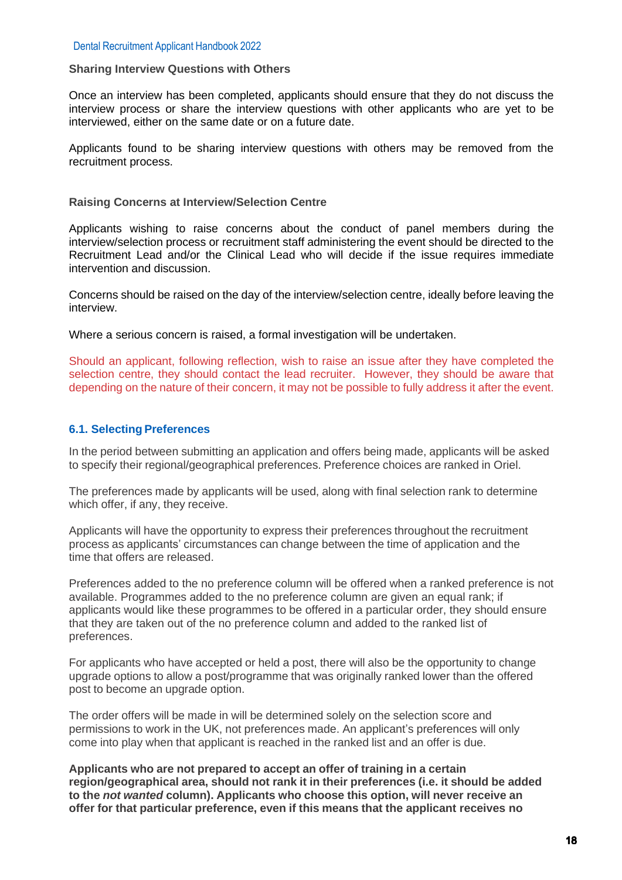#### **Sharing Interview Questions with Others**

Once an interview has been completed, applicants should ensure that they do not discuss the interview process or share the interview questions with other applicants who are yet to be interviewed, either on the same date or on a future date.

Applicants found to be sharing interview questions with others may be removed from the recruitment process.

#### **Raising Concerns at Interview/Selection Centre**

Applicants wishing to raise concerns about the conduct of panel members during the interview/selection process or recruitment staff administering the event should be directed to the Recruitment Lead and/or the Clinical Lead who will decide if the issue requires immediate intervention and discussion.

Concerns should be raised on the day of the interview/selection centre, ideally before leaving the interview.

Where a serious concern is raised, a formal investigation will be undertaken.

Should an applicant, following reflection, wish to raise an issue after they have completed the selection centre, they should contact the lead recruiter. However, they should be aware that depending on the nature of their concern, it may not be possible to fully address it after the event.

#### <span id="page-17-0"></span>**[6.1.](#page-1-24) Selecting Preferences**

In the period between submitting an application and offers being made, applicants will be asked to specify their regional/geographical preferences. Preference choices are ranked in Oriel.

The preferences made by applicants will be used, along with final selection rank to determine which offer, if any, they receive.

Applicants will have the opportunity to express their preferences throughout the recruitment process as applicants' circumstances can change between the time of application and the time that offers are released.

Preferences added to the no preference column will be offered when a ranked preference is not available. Programmes added to the no preference column are given an equal rank; if applicants would like these programmes to be offered in a particular order, they should ensure that they are taken out of the no preference column and added to the ranked list of preferences.

For applicants who have accepted or held a post, there will also be the opportunity to change upgrade options to allow a post/programme that was originally ranked lower than the offered post to become an upgrade option.

The order offers will be made in will be determined solely on the selection score and permissions to work in the UK, not preferences made. An applicant's preferences will only come into play when that applicant is reached in the ranked list and an offer is due.

**Applicants who are not prepared to accept an offer of training in a certain region/geographical area, should not rank it in their preferences (i.e. it should be added to the** *not wanted* **column). Applicants who choose this option, will never receive an offer for that particular preference, even if this means that the applicant receives no**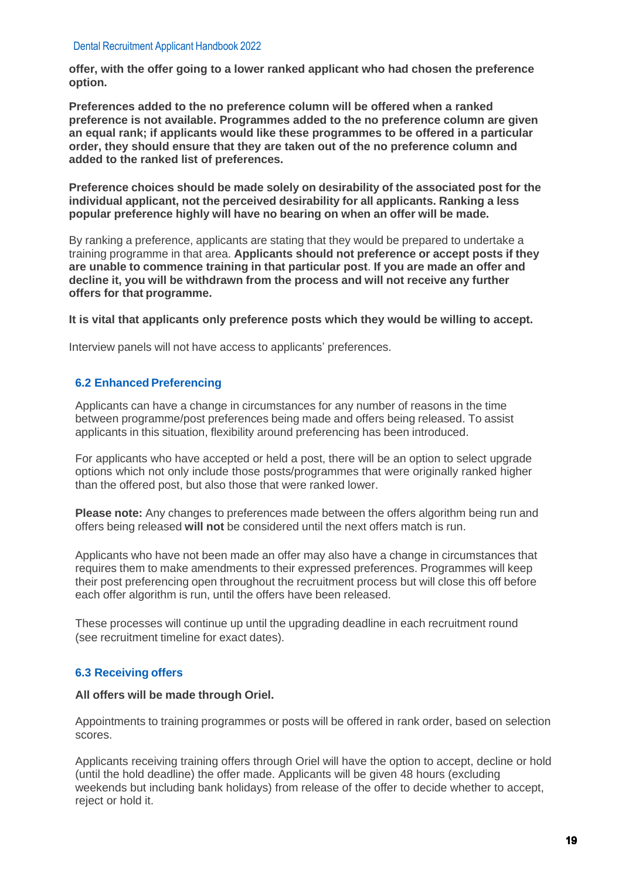**offer, with the offer going to a lower ranked applicant who had chosen the preference option.**

**Preferences added to the no preference column will be offered when a ranked preference is not available. Programmes added to the no preference column are given an equal rank; if applicants would like these programmes to be offered in a particular order, they should ensure that they are taken out of the no preference column and added to the ranked list of preferences.**

**Preference choices should be made solely on desirability of the associated post for the individual applicant, not the perceived desirability for all applicants. Ranking a less popular preference highly will have no bearing on when an offer will be made.**

By ranking a preference, applicants are stating that they would be prepared to undertake a training programme in that area. **Applicants should not preference or accept posts if they are unable to commence training in that particular post**. **If you are made an offer and decline it, you will be withdrawn from the process and will not receive any further offers for that programme.** 

**It is vital that applicants only preference posts which they would be willing to accept.**

Interview panels will not have access to applicants' preferences.

#### <span id="page-18-0"></span> **[6.2](#page-1-25) Enhanced Preferencing**

Applicants can have a change in circumstances for any number of reasons in the time between programme/post preferences being made and offers being released. To assist applicants in this situation, flexibility around preferencing has been introduced.

For applicants who have accepted or held a post, there will be an option to select upgrade options which not only include those posts/programmes that were originally ranked higher than the offered post, but also those that were ranked lower.

**Please note:** Any changes to preferences made between the offers algorithm being run and offers being released **will not** be considered until the next offers match is run.

Applicants who have not been made an offer may also have a change in circumstances that requires them to make amendments to their expressed preferences. Programmes will keep their post preferencing open throughout the recruitment process but will close this off before each offer algorithm is run, until the offers have been released.

These processes will continue up until the upgrading deadline in each recruitment round (see recruitment timeline for exact dates).

#### <span id="page-18-1"></span> **[6.3](#page-1-26) Receiving offers**

#### **All offers will be made through Oriel.**

Appointments to training programmes or posts will be offered in rank order, based on selection scores.

Applicants receiving training offers through Oriel will have the option to accept, decline or hold (until the hold deadline) the offer made. Applicants will be given 48 hours (excluding weekends but including bank holidays) from release of the offer to decide whether to accept, reject or hold it.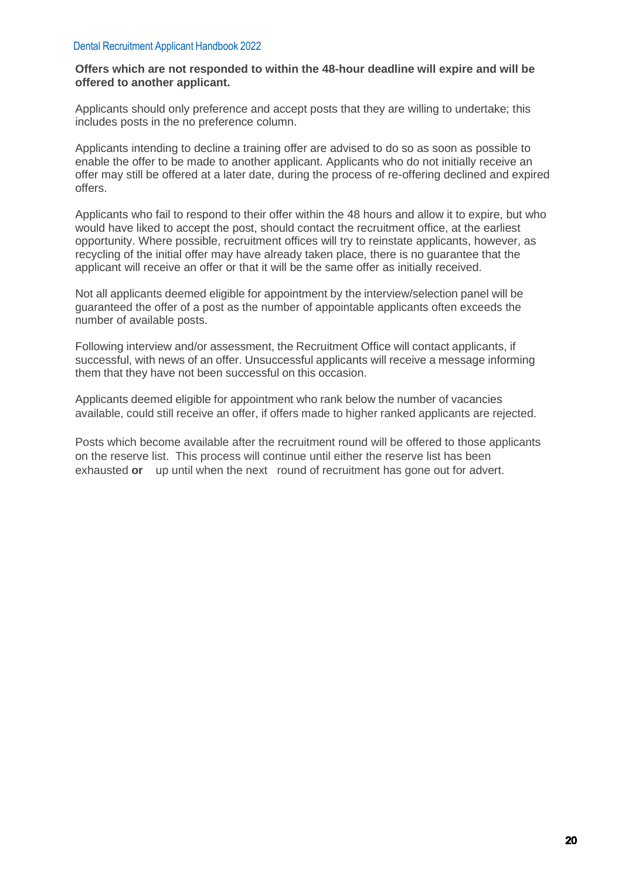#### **Offers which are not responded to within the 48-hour deadline will expire and will be offered to another applicant.**

Applicants should only preference and accept posts that they are willing to undertake; this includes posts in the no preference column.

Applicants intending to decline a training offer are advised to do so as soon as possible to enable the offer to be made to another applicant. Applicants who do not initially receive an offer may still be offered at a later date, during the process of re-offering declined and expired offers.

Applicants who fail to respond to their offer within the 48 hours and allow it to expire, but who would have liked to accept the post, should contact the recruitment office, at the earliest opportunity. Where possible, recruitment offices will try to reinstate applicants, however, as recycling of the initial offer may have already taken place, there is no guarantee that the applicant will receive an offer or that it will be the same offer as initially received.

Not all applicants deemed eligible for appointment by the interview/selection panel will be guaranteed the offer of a post as the number of appointable applicants often exceeds the number of available posts.

Following interview and/or assessment, the Recruitment Office will contact applicants, if successful, with news of an offer. Unsuccessful applicants will receive a message informing them that they have not been successful on this occasion.

Applicants deemed eligible for appointment who rank below the number of vacancies available, could still receive an offer, if offers made to higher ranked applicants are rejected.

Posts which become available after the recruitment round will be offered to those applicants on the reserve list. This process will continue until either the reserve list has been exhausted **or** up until when the next round of recruitment has gone out for advert.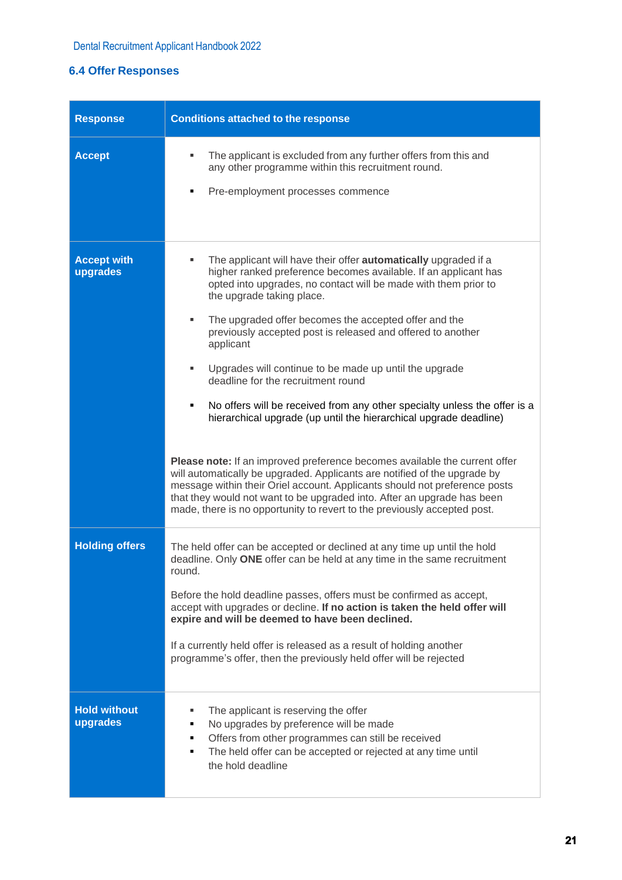# <span id="page-20-0"></span>**[6.4](#page-1-27) Offer Responses**

| <b>Response</b>                 | <b>Conditions attached to the response</b>                                                                                                                                                                                                                                                                                                                                                                                                                                                                                                                                                                                                                                                                                                                                                                                                                                                                                                                                                                                                      |  |  |  |
|---------------------------------|-------------------------------------------------------------------------------------------------------------------------------------------------------------------------------------------------------------------------------------------------------------------------------------------------------------------------------------------------------------------------------------------------------------------------------------------------------------------------------------------------------------------------------------------------------------------------------------------------------------------------------------------------------------------------------------------------------------------------------------------------------------------------------------------------------------------------------------------------------------------------------------------------------------------------------------------------------------------------------------------------------------------------------------------------|--|--|--|
| <b>Accept</b>                   | The applicant is excluded from any further offers from this and<br>٠<br>any other programme within this recruitment round.<br>Pre-employment processes commence                                                                                                                                                                                                                                                                                                                                                                                                                                                                                                                                                                                                                                                                                                                                                                                                                                                                                 |  |  |  |
| <b>Accept with</b><br>upgrades  | The applicant will have their offer <b>automatically</b> upgraded if a<br>higher ranked preference becomes available. If an applicant has<br>opted into upgrades, no contact will be made with them prior to<br>the upgrade taking place.<br>The upgraded offer becomes the accepted offer and the<br>٠<br>previously accepted post is released and offered to another<br>applicant<br>Upgrades will continue to be made up until the upgrade<br>ш<br>deadline for the recruitment round<br>No offers will be received from any other specialty unless the offer is a<br>٠<br>hierarchical upgrade (up until the hierarchical upgrade deadline)<br>Please note: If an improved preference becomes available the current offer<br>will automatically be upgraded. Applicants are notified of the upgrade by<br>message within their Oriel account. Applicants should not preference posts<br>that they would not want to be upgraded into. After an upgrade has been<br>made, there is no opportunity to revert to the previously accepted post. |  |  |  |
| <b>Holding offers</b>           | The held offer can be accepted or declined at any time up until the hold<br>deadline. Only ONE offer can be held at any time in the same recruitment<br>round.<br>Before the hold deadline passes, offers must be confirmed as accept,<br>accept with upgrades or decline. If no action is taken the held offer will<br>expire and will be deemed to have been declined.<br>If a currently held offer is released as a result of holding another<br>programme's offer, then the previously held offer will be rejected                                                                                                                                                                                                                                                                                                                                                                                                                                                                                                                          |  |  |  |
| <b>Hold without</b><br>upgrades | The applicant is reserving the offer<br>ш<br>No upgrades by preference will be made<br>٠<br>Offers from other programmes can still be received<br>٠<br>The held offer can be accepted or rejected at any time until<br>٠<br>the hold deadline                                                                                                                                                                                                                                                                                                                                                                                                                                                                                                                                                                                                                                                                                                                                                                                                   |  |  |  |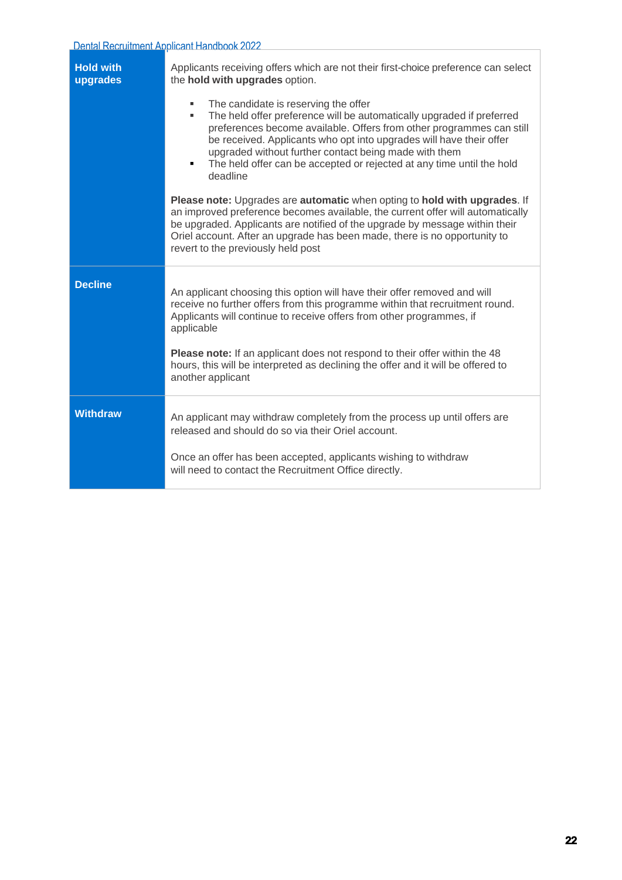| <b>Hold with</b><br>upgrades | Applicants receiving offers which are not their first-choice preference can select<br>the hold with upgrades option.                                                                                                                                                                                                                                                                                                 |  |  |  |
|------------------------------|----------------------------------------------------------------------------------------------------------------------------------------------------------------------------------------------------------------------------------------------------------------------------------------------------------------------------------------------------------------------------------------------------------------------|--|--|--|
|                              | The candidate is reserving the offer<br>٠<br>The held offer preference will be automatically upgraded if preferred<br>preferences become available. Offers from other programmes can still<br>be received. Applicants who opt into upgrades will have their offer<br>upgraded without further contact being made with them<br>The held offer can be accepted or rejected at any time until the hold<br>٠<br>deadline |  |  |  |
|                              | Please note: Upgrades are automatic when opting to hold with upgrades. If<br>an improved preference becomes available, the current offer will automatically<br>be upgraded. Applicants are notified of the upgrade by message within their<br>Oriel account. After an upgrade has been made, there is no opportunity to<br>revert to the previously held post                                                        |  |  |  |
| <b>Decline</b>               | An applicant choosing this option will have their offer removed and will<br>receive no further offers from this programme within that recruitment round.<br>Applicants will continue to receive offers from other programmes, if<br>applicable<br>Please note: If an applicant does not respond to their offer within the 48<br>hours, this will be interpreted as declining the offer and it will be offered to     |  |  |  |
|                              | another applicant                                                                                                                                                                                                                                                                                                                                                                                                    |  |  |  |
| <b>Withdraw</b>              | An applicant may withdraw completely from the process up until offers are<br>released and should do so via their Oriel account.                                                                                                                                                                                                                                                                                      |  |  |  |
|                              | Once an offer has been accepted, applicants wishing to withdraw<br>will need to contact the Recruitment Office directly.                                                                                                                                                                                                                                                                                             |  |  |  |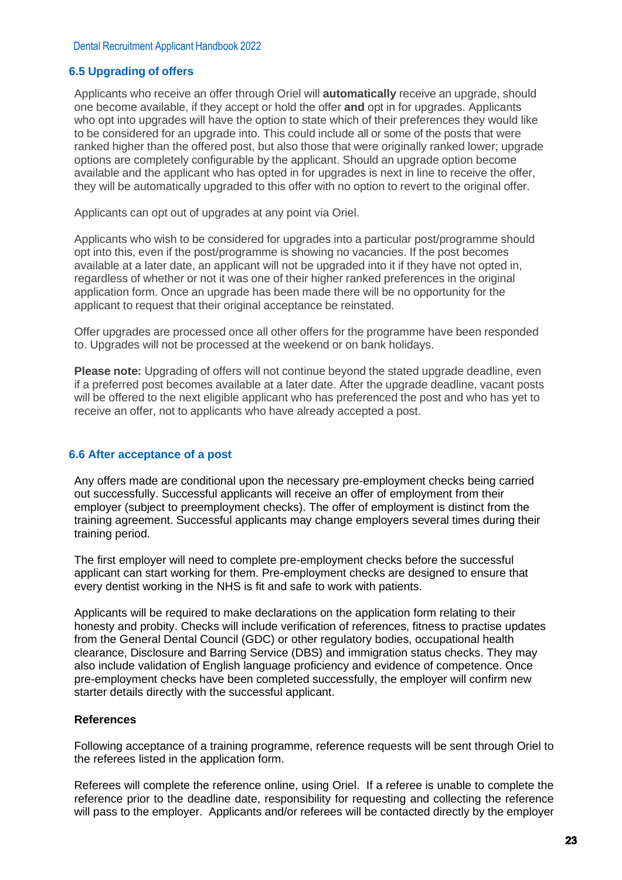#### <span id="page-22-0"></span>**[6.5](#page-1-28) Upgrading of offers**

Applicants who receive an offer through Oriel will **automatically** receive an upgrade, should one become available, if they accept or hold the offer **and** opt in for upgrades. Applicants who opt into upgrades will have the option to state which of their preferences they would like to be considered for an upgrade into. This could include all or some of the posts that were ranked higher than the offered post, but also those that were originally ranked lower; upgrade options are completely configurable by the applicant. Should an upgrade option become available and the applicant who has opted in for upgrades is next in line to receive the offer, they will be automatically upgraded to this offer with no option to revert to the original offer.

Applicants can opt out of upgrades at any point via Oriel.

Applicants who wish to be considered for upgrades into a particular post/programme should opt into this, even if the post/programme is showing no vacancies. If the post becomes available at a later date, an applicant will not be upgraded into it if they have not opted in, regardless of whether or not it was one of their higher ranked preferences in the original application form. Once an upgrade has been made there will be no opportunity for the applicant to request that their original acceptance be reinstated.

Offer upgrades are processed once all other offers for the programme have been responded to. Upgrades will not be processed at the weekend or on bank holidays.

**Please note:** Upgrading of offers will not continue beyond the stated upgrade deadline, even if a preferred post becomes available at a later date. After the upgrade deadline, vacant posts will be offered to the next eligible applicant who has preferenced the post and who has yet to receive an offer, not to applicants who have already accepted a post.

#### **[6.6](#page-1-29) After acceptance of a post**

Any offers made are conditional upon the necessary pre-employment checks being carried out successfully. Successful applicants will receive an offer of employment from their employer (subject to preemployment checks). The offer of employment is distinct from the training agreement. Successful applicants may change employers several times during their training period.

The first employer will need to complete pre-employment checks before the successful applicant can start working for them. Pre-employment checks are designed to ensure that every dentist working in the NHS is fit and safe to work with patients.

Applicants will be required to make declarations on the application form relating to their honesty and probity. Checks will include verification of references, fitness to practise updates from the General Dental Council (GDC) or other regulatory bodies, occupational health clearance, Disclosure and Barring Service (DBS) and immigration status checks. They may also include validation of English language proficiency and evidence of competence. Once pre-employment checks have been completed successfully, the employer will confirm new starter details directly with the successful applicant.

#### **References**

Following acceptance of a training programme, reference requests will be sent through Oriel to the referees listed in the application form.

Referees will complete the reference online, using Oriel. If a referee is unable to complete the reference prior to the deadline date, responsibility for requesting and collecting the reference will pass to the employer. Applicants and/or referees will be contacted directly by the employer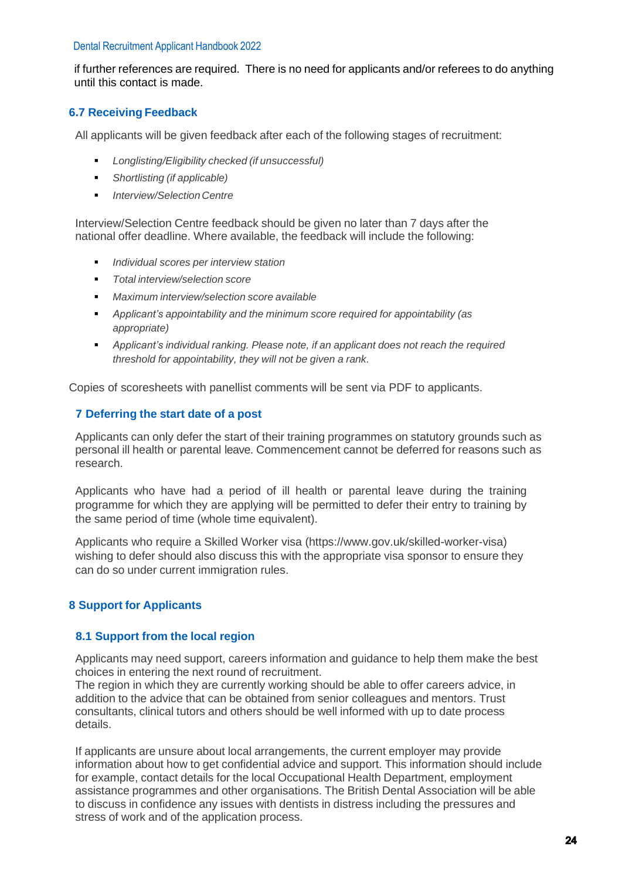if further references are required. There is no need for applicants and/or referees to do anything until this contact is made.

# **[6.7](#page-1-30) Receiving Feedback**

All applicants will be given feedback after each of the following stages of recruitment:

- *Longlisting/Eligibility checked (if unsuccessful)*
- *Shortlisting (if applicable)*
- *Interview/Selection Centre*

Interview/Selection Centre feedback should be given no later than 7 days after the national offer deadline. Where available, the feedback will include the following:

- *Individual scores per interview station*
- *Total interview/selection score*
- *Maximum interview/selection score available*
- *Applicant's appointability and the minimum score required for appointability (as appropriate)*
- *Applicant's individual ranking. Please note, if an applicant does not reach the required threshold for appointability, they will not be given a rank.*

Copies of scoresheets with panellist comments will be sent via PDF to applicants.

#### <span id="page-23-0"></span> **[7](#page-1-31) Deferring the start date of a post**

Applicants can only defer the start of their training programmes on statutory grounds such as personal ill health or parental leave. Commencement cannot be deferred for reasons such as research.

Applicants who have had a period of ill health or parental leave during the training programme for which they are applying will be permitted to defer their entry to training by the same period of time (whole time equivalent).

Applicants who require a Skilled Worker visa (https://www.gov.uk/skilled-worker-visa) wishing to defer should also discuss this with the appropriate visa sponsor to ensure they can do so under current immigration rules.

#### <span id="page-23-2"></span><span id="page-23-1"></span>**[8](#page-1-32) Support for Applicants**

#### **[8.1](#page-1-33) Support from the local region**

Applicants may need support, careers information and guidance to help them make the best choices in entering the next round of recruitment.

The region in which they are currently working should be able to offer careers advice, in addition to the advice that can be obtained from senior colleagues and mentors. Trust consultants, clinical tutors and others should be well informed with up to date process details.

If applicants are unsure about local arrangements, the current employer may provide information about how to get confidential advice and support. This information should include for example, contact details for the local Occupational Health Department, employment assistance programmes and other organisations. The British Dental Association will be able to discuss in confidence any issues with dentists in distress including the pressures and stress of work and of the application process.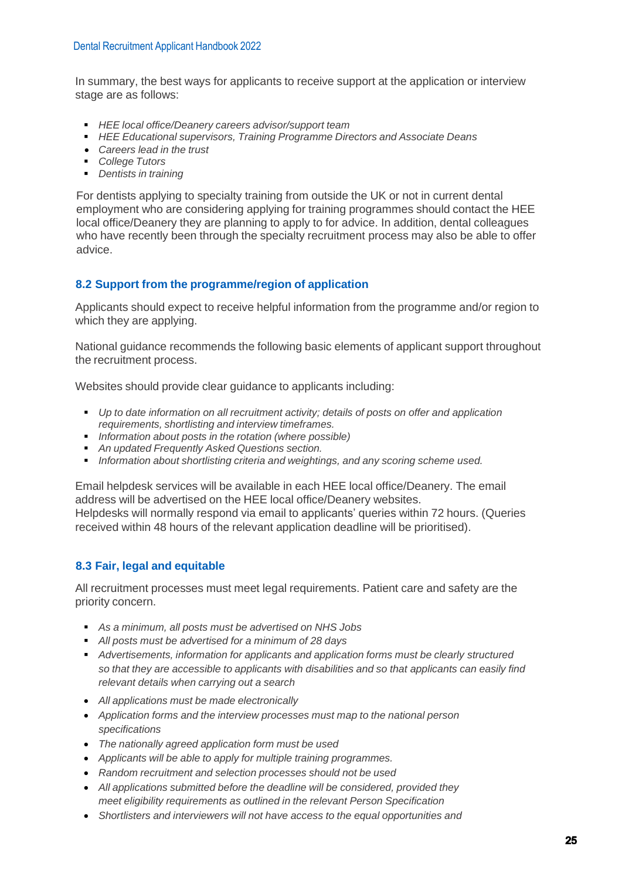In summary, the best ways for applicants to receive support at the application or interview stage are as follows:

- *HEE local office/Deanery careers advisor/support team*
- *HEE Educational supervisors, Training Programme Directors and Associate Deans*
- *Careers lead in the trust*
- *College Tutors*
- *Dentists in training*

For dentists applying to specialty training from outside the UK or not in current dental employment who are considering applying for training programmes should contact the HEE local office/Deanery they are planning to apply to for advice. In addition, dental colleagues who have recently been through the specialty recruitment process may also be able to offer advice.

# <span id="page-24-0"></span> **[8.2](#page-1-34) Support from the programme/region of application**

Applicants should expect to receive helpful information from the programme and/or region to which they are applying.

National guidance recommends the following basic elements of applicant support throughout the recruitment process.

Websites should provide clear guidance to applicants including:

- *Up to date information on all recruitment activity; details of posts on offer and application requirements, shortlisting and interview timeframes.*
- *Information about posts in the rotation (where possible)*
- *An updated Frequently Asked Questions section.*
- *Information about shortlisting criteria and weightings, and any scoring scheme used.*

Email helpdesk services will be available in each HEE local office/Deanery. The email address will be advertised on the HEE local office/Deanery websites. Helpdesks will normally respond via email to applicants' queries within 72 hours. (Queries received within 48 hours of the relevant application deadline will be prioritised).

# <span id="page-24-1"></span> **[8.3](#page-1-35) Fair, legal and equitable**

All recruitment processes must meet legal requirements. Patient care and safety are the priority concern.

- *As a minimum,* all posts *must* be advertised on NHS Jobs
- *All posts must be advertised for a minimum of 28 days*
- *Advertisements, information for applicants and application forms must be clearly structured so that they are accessible to applicants with disabilities and so that applicants can easily find relevant details when carrying out a search*
- *All applications must be made electronically*
- *Application forms and the interview processes must map to the national person specifications*
- *The nationally agreed application form must be used*
- *Applicants will be able to apply for multiple training programmes.*
- *Random recruitment and selection processes should not be used*
- *All applications submitted before the deadline will be considered, provided they meet eligibility requirements as outlined in the relevant Person Specification*
- *Shortlisters and interviewers will not have access to the equal opportunities and*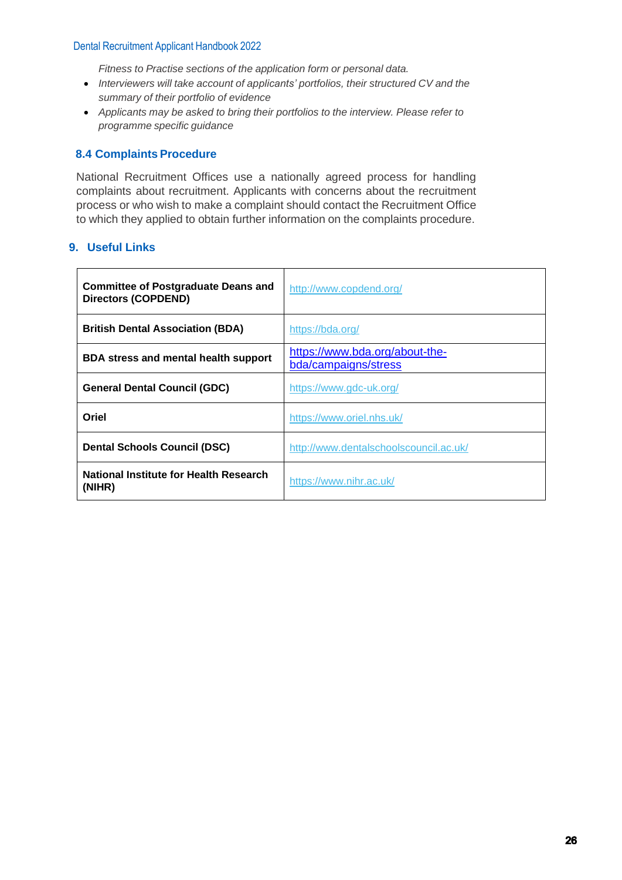*Fitness to Practise sections of the application form or personal data.*

- *Interviewers will take account of applicants' portfolios, their structured CV and the summary of their portfolio of evidence*
- *Applicants may be asked to bring their portfolios to the interview. Please refer to programme specific guidance*

#### **[8.4](#page-1-36) Complaints Procedure**

National Recruitment Offices use a nationally agreed process for handling complaints about recruitment. Applicants with concerns about the recruitment process or who wish to make a complaint should contact the Recruitment Office to which they applied to obtain further information on the complaints procedure.

#### **[9.](#page-1-37) Useful Links**

| <b>Committee of Postgraduate Deans and</b><br><b>Directors (COPDEND)</b> | http://www.copdend.org/                                |  |
|--------------------------------------------------------------------------|--------------------------------------------------------|--|
| <b>British Dental Association (BDA)</b>                                  | https://bda.org/                                       |  |
| <b>BDA stress and mental health support</b>                              | https://www.bda.org/about-the-<br>bda/campaigns/stress |  |
| <b>General Dental Council (GDC)</b>                                      | https://www.gdc-uk.org/                                |  |
| Oriel                                                                    | https://www.oriel.nhs.uk/                              |  |
| <b>Dental Schools Council (DSC)</b>                                      | http://www.dentalschoolscouncil.ac.uk/                 |  |
| National Institute for Health Research<br>(NIHR)                         | https://www.nihr.ac.uk/                                |  |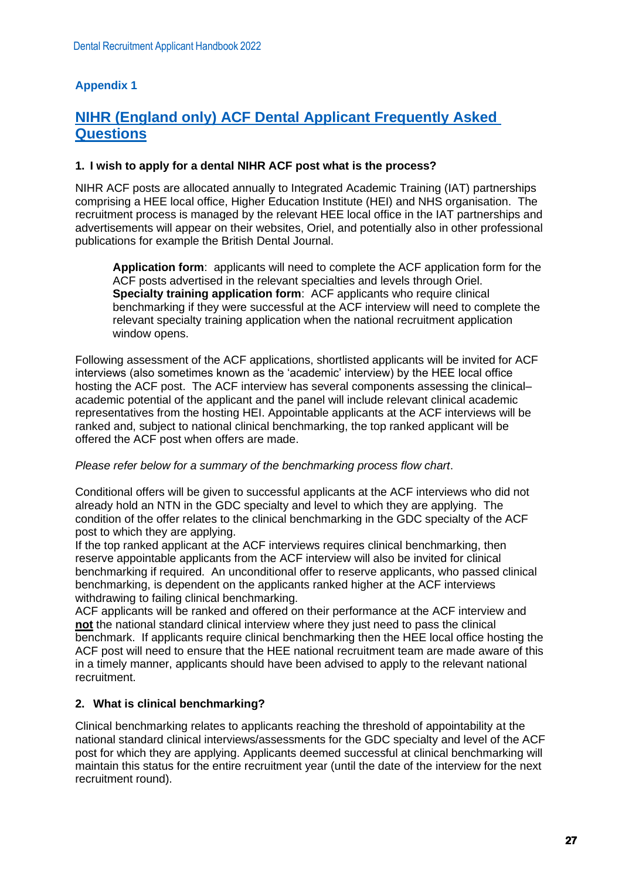# <span id="page-26-0"></span>**Appendix 1**

# **NIHR (England only) ACF Dental Applicant Frequently Asked Questions**

#### **1. I wish to apply for a dental NIHR ACF post what is the process?**

NIHR ACF posts are allocated annually to Integrated Academic Training (IAT) partnerships comprising a HEE local office, Higher Education Institute (HEI) and NHS organisation. The recruitment process is managed by the relevant HEE local office in the IAT partnerships and advertisements will appear on their websites, Oriel, and potentially also in other professional publications for example the British Dental Journal.

**Application form**: applicants will need to complete the ACF application form for the ACF posts advertised in the relevant specialties and levels through Oriel. **Specialty training application form**: ACF applicants who require clinical benchmarking if they were successful at the ACF interview will need to complete the relevant specialty training application when the national recruitment application window opens.

Following assessment of the ACF applications, shortlisted applicants will be invited for ACF interviews (also sometimes known as the 'academic' interview) by the HEE local office hosting the ACF post. The ACF interview has several components assessing the clinical– academic potential of the applicant and the panel will include relevant clinical academic representatives from the hosting HEI. Appointable applicants at the ACF interviews will be ranked and, subject to national clinical benchmarking, the top ranked applicant will be offered the ACF post when offers are made.

#### *Please refer below for a summary of the benchmarking process flow chart*.

Conditional offers will be given to successful applicants at the ACF interviews who did not already hold an NTN in the GDC specialty and level to which they are applying. The condition of the offer relates to the clinical benchmarking in the GDC specialty of the ACF post to which they are applying.

If the top ranked applicant at the ACF interviews requires clinical benchmarking, then reserve appointable applicants from the ACF interview will also be invited for clinical benchmarking if required. An unconditional offer to reserve applicants, who passed clinical benchmarking, is dependent on the applicants ranked higher at the ACF interviews withdrawing to failing clinical benchmarking.

ACF applicants will be ranked and offered on their performance at the ACF interview and **not** the national standard clinical interview where they just need to pass the clinical benchmark. If applicants require clinical benchmarking then the HEE local office hosting the ACF post will need to ensure that the HEE national recruitment team are made aware of this in a timely manner, applicants should have been advised to apply to the relevant national recruitment.

#### **2. What is clinical benchmarking?**

Clinical benchmarking relates to applicants reaching the threshold of appointability at the national standard clinical interviews/assessments for the GDC specialty and level of the ACF post for which they are applying. Applicants deemed successful at clinical benchmarking will maintain this status for the entire recruitment year (until the date of the interview for the next recruitment round).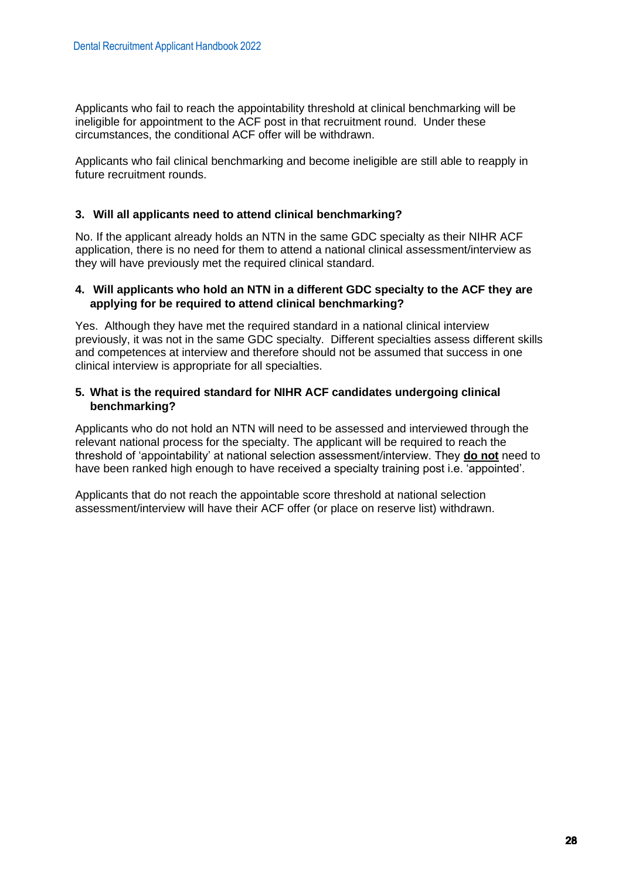Applicants who fail to reach the appointability threshold at clinical benchmarking will be ineligible for appointment to the ACF post in that recruitment round. Under these circumstances, the conditional ACF offer will be withdrawn.

Applicants who fail clinical benchmarking and become ineligible are still able to reapply in future recruitment rounds.

#### **3. Will all applicants need to attend clinical benchmarking?**

No. If the applicant already holds an NTN in the same GDC specialty as their NIHR ACF application, there is no need for them to attend a national clinical assessment/interview as they will have previously met the required clinical standard.

#### **4. Will applicants who hold an NTN in a different GDC specialty to the ACF they are applying for be required to attend clinical benchmarking?**

Yes. Although they have met the required standard in a national clinical interview previously, it was not in the same GDC specialty. Different specialties assess different skills and competences at interview and therefore should not be assumed that success in one clinical interview is appropriate for all specialties.

#### **5. What is the required standard for NIHR ACF candidates undergoing clinical benchmarking?**

Applicants who do not hold an NTN will need to be assessed and interviewed through the relevant national process for the specialty. The applicant will be required to reach the threshold of 'appointability' at national selection assessment/interview. They **do not** need to have been ranked high enough to have received a specialty training post i.e. 'appointed'.

Applicants that do not reach the appointable score threshold at national selection assessment/interview will have their ACF offer (or place on reserve list) withdrawn.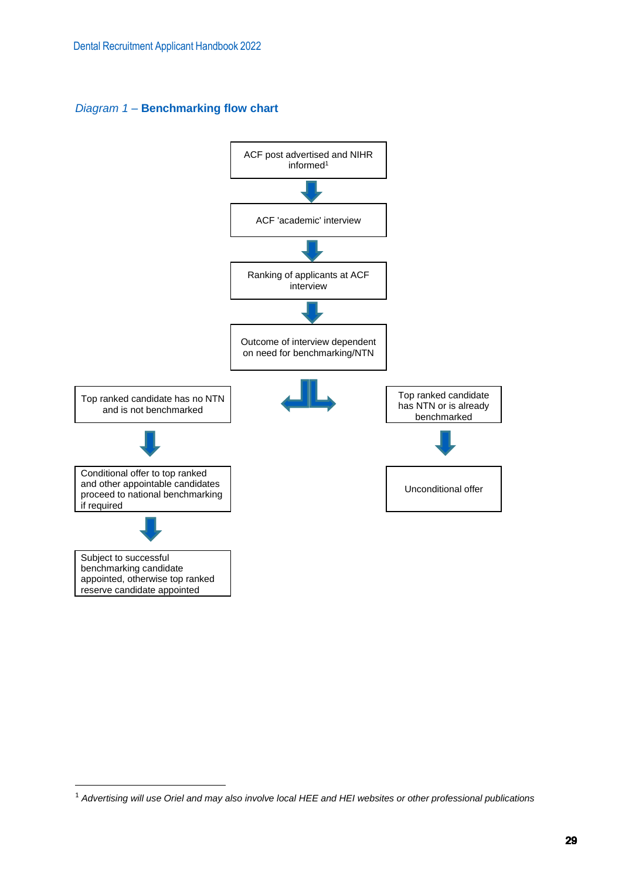*Diagram 1* – **Benchmarking flow chart**



<sup>1</sup> *Advertising will use Oriel and may also involve local HEE and HEI websites or other professional publications*